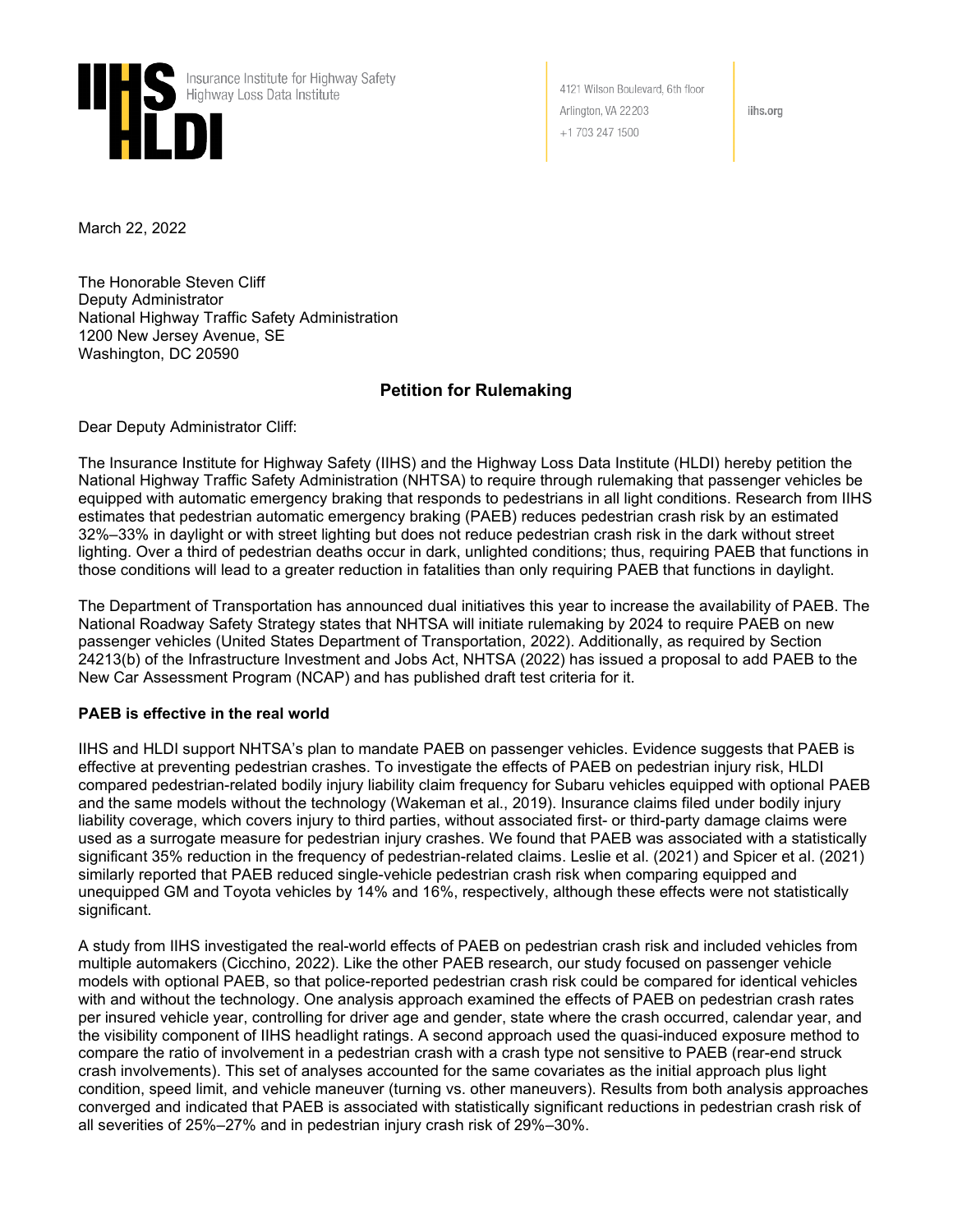

4121 Wilson Boulevard, 6th floor Arlington, VA 22203 +1 703 247 1500

iihs.org

March 22, 2022

The Honorable Steven Cliff Deputy Administrator National Highway Traffic Safety Administration 1200 New Jersey Avenue, SE Washington, DC 20590

#### **Petition for Rulemaking**

Dear Deputy Administrator Cliff:

The Insurance Institute for Highway Safety (IIHS) and the Highway Loss Data Institute (HLDI) hereby petition the National Highway Traffic Safety Administration (NHTSA) to require through rulemaking that passenger vehicles be equipped with automatic emergency braking that responds to pedestrians in all light conditions. Research from IIHS estimates that pedestrian automatic emergency braking (PAEB) reduces pedestrian crash risk by an estimated 32%–33% in daylight or with street lighting but does not reduce pedestrian crash risk in the dark without street lighting. Over a third of pedestrian deaths occur in dark, unlighted conditions; thus, requiring PAEB that functions in those conditions will lead to a greater reduction in fatalities than only requiring PAEB that functions in daylight.

The Department of Transportation has announced dual initiatives this year to increase the availability of PAEB. The National Roadway Safety Strategy states that NHTSA will initiate rulemaking by 2024 to require PAEB on new passenger vehicles (United States Department of Transportation, 2022). Additionally, as required by Section 24213(b) of the Infrastructure Investment and Jobs Act, NHTSA (2022) has issued a proposal to add PAEB to the New Car Assessment Program (NCAP) and has published draft test criteria for it.

#### **PAEB is effective in the real world**

IIHS and HLDI support NHTSA's plan to mandate PAEB on passenger vehicles. Evidence suggests that PAEB is effective at preventing pedestrian crashes. To investigate the effects of PAEB on pedestrian injury risk, HLDI compared pedestrian-related bodily injury liability claim frequency for Subaru vehicles equipped with optional PAEB and the same models without the technology (Wakeman et al., 2019). Insurance claims filed under bodily injury liability coverage, which covers injury to third parties, without associated first- or third-party damage claims were used as a surrogate measure for pedestrian injury crashes. We found that PAEB was associated with a statistically significant 35% reduction in the frequency of pedestrian-related claims. Leslie et al. (2021) and Spicer et al. (2021) similarly reported that PAEB reduced single-vehicle pedestrian crash risk when comparing equipped and unequipped GM and Toyota vehicles by 14% and 16%, respectively, although these effects were not statistically significant.

A study from IIHS investigated the real-world effects of PAEB on pedestrian crash risk and included vehicles from multiple automakers (Cicchino, 2022). Like the other PAEB research, our study focused on passenger vehicle models with optional PAEB, so that police-reported pedestrian crash risk could be compared for identical vehicles with and without the technology. One analysis approach examined the effects of PAEB on pedestrian crash rates per insured vehicle year, controlling for driver age and gender, state where the crash occurred, calendar year, and the visibility component of IIHS headlight ratings. A second approach used the quasi-induced exposure method to compare the ratio of involvement in a pedestrian crash with a crash type not sensitive to PAEB (rear-end struck crash involvements). This set of analyses accounted for the same covariates as the initial approach plus light condition, speed limit, and vehicle maneuver (turning vs. other maneuvers). Results from both analysis approaches converged and indicated that PAEB is associated with statistically significant reductions in pedestrian crash risk of all severities of 25%–27% and in pedestrian injury crash risk of 29%–30%.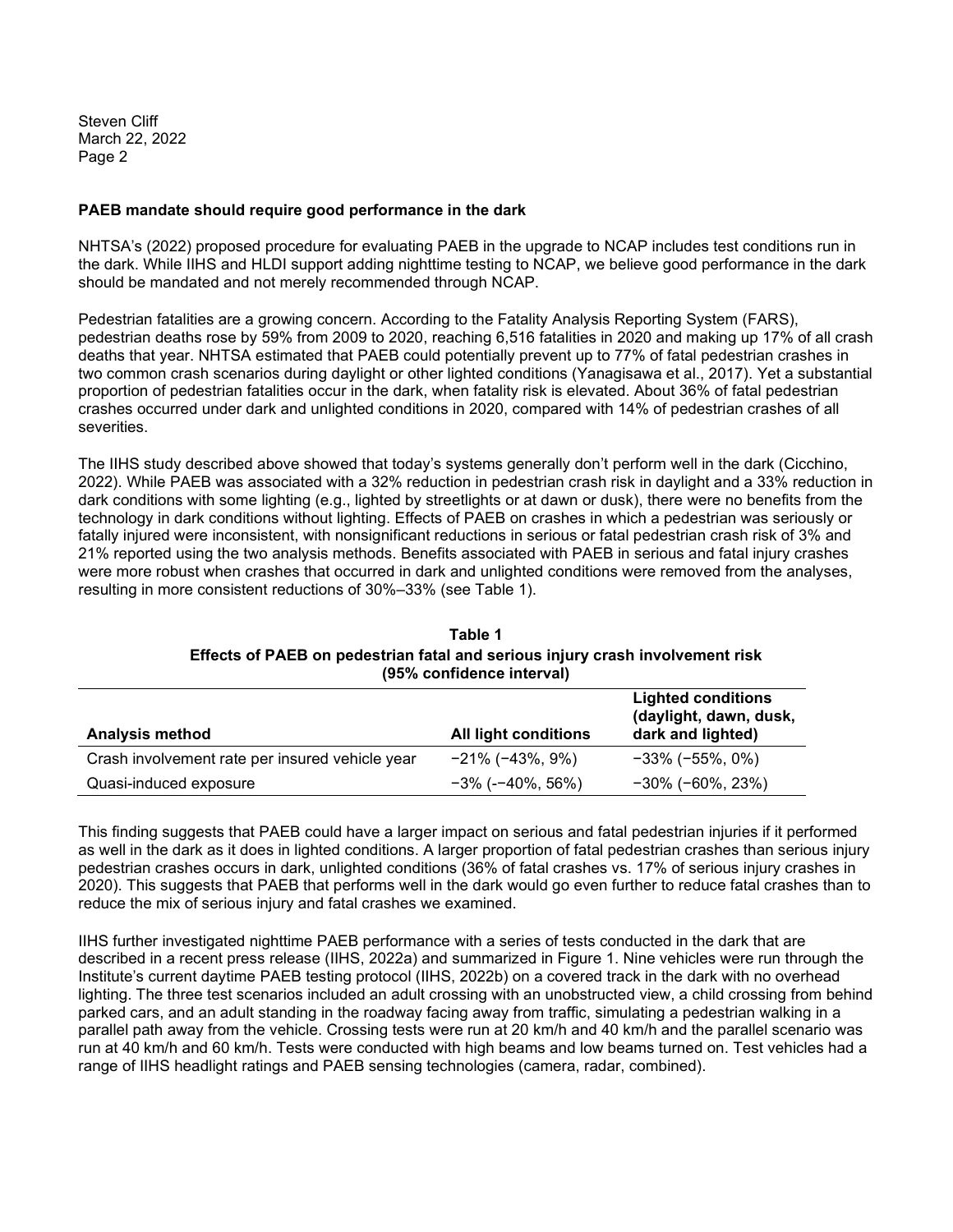Steven Cliff March 22, 2022 Page 2

#### **PAEB mandate should require good performance in the dark**

NHTSA's (2022) proposed procedure for evaluating PAEB in the upgrade to NCAP includes test conditions run in the dark. While IIHS and HLDI support adding nighttime testing to NCAP, we believe good performance in the dark should be mandated and not merely recommended through NCAP.

Pedestrian fatalities are a growing concern. According to the Fatality Analysis Reporting System (FARS), pedestrian deaths rose by 59% from 2009 to 2020, reaching 6,516 fatalities in 2020 and making up 17% of all crash deaths that year. NHTSA estimated that PAEB could potentially prevent up to 77% of fatal pedestrian crashes in two common crash scenarios during daylight or other lighted conditions (Yanagisawa et al., 2017). Yet a substantial proportion of pedestrian fatalities occur in the dark, when fatality risk is elevated. About 36% of fatal pedestrian crashes occurred under dark and unlighted conditions in 2020, compared with 14% of pedestrian crashes of all severities.

The IIHS study described above showed that today's systems generally don't perform well in the dark (Cicchino, 2022). While PAEB was associated with a 32% reduction in pedestrian crash risk in daylight and a 33% reduction in dark conditions with some lighting (e.g., lighted by streetlights or at dawn or dusk), there were no benefits from the technology in dark conditions without lighting. Effects of PAEB on crashes in which a pedestrian was seriously or fatally injured were inconsistent, with nonsignificant reductions in serious or fatal pedestrian crash risk of 3% and 21% reported using the two analysis methods. Benefits associated with PAEB in serious and fatal injury crashes were more robust when crashes that occurred in dark and unlighted conditions were removed from the analyses, resulting in more consistent reductions of 30%–33% (see Table 1).

| 19970 CONNOCHCC INCO VAIL                       |                             |                                                                          |  |
|-------------------------------------------------|-----------------------------|--------------------------------------------------------------------------|--|
| <b>Analysis method</b>                          | <b>All light conditions</b> | <b>Lighted conditions</b><br>(daylight, dawn, dusk,<br>dark and lighted) |  |
| Crash involvement rate per insured vehicle year | $-21\%$ ( $-43\%$ , $9\%$ ) | $-33\%$ ( $-55\%$ , 0%)                                                  |  |
| Quasi-induced exposure                          | $-3\%$ (- $-40\%$ , 56%)    | $-30\%$ ( $-60\%$ , 23%)                                                 |  |

#### **Table 1 Effects of PAEB on pedestrian fatal and serious injury crash involvement risk (95% confidence interval)**

This finding suggests that PAEB could have a larger impact on serious and fatal pedestrian injuries if it performed as well in the dark as it does in lighted conditions. A larger proportion of fatal pedestrian crashes than serious injury pedestrian crashes occurs in dark, unlighted conditions (36% of fatal crashes vs. 17% of serious injury crashes in 2020). This suggests that PAEB that performs well in the dark would go even further to reduce fatal crashes than to reduce the mix of serious injury and fatal crashes we examined.

IIHS further investigated nighttime PAEB performance with a series of tests conducted in the dark that are described in a recent press release (IIHS, 2022a) and summarized in Figure 1. Nine vehicles were run through the Institute's current daytime PAEB testing protocol (IIHS, 2022b) on a covered track in the dark with no overhead lighting. The three test scenarios included an adult crossing with an unobstructed view, a child crossing from behind parked cars, and an adult standing in the roadway facing away from traffic, simulating a pedestrian walking in a parallel path away from the vehicle. Crossing tests were run at 20 km/h and 40 km/h and the parallel scenario was run at 40 km/h and 60 km/h. Tests were conducted with high beams and low beams turned on. Test vehicles had a range of IIHS headlight ratings and PAEB sensing technologies (camera, radar, combined).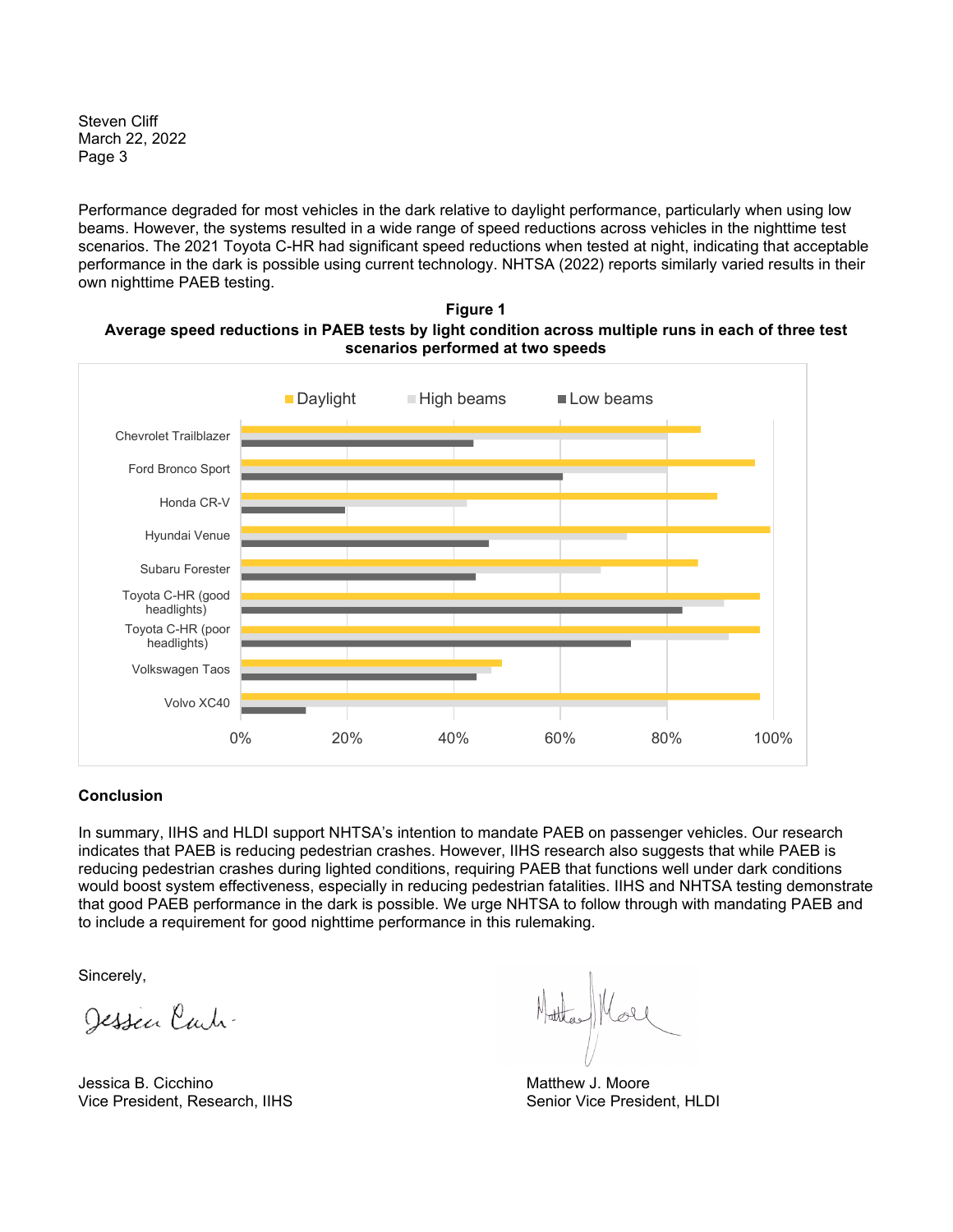Steven Cliff March 22, 2022 Page 3

Performance degraded for most vehicles in the dark relative to daylight performance, particularly when using low beams. However, the systems resulted in a wide range of speed reductions across vehicles in the nighttime test scenarios. The 2021 Toyota C-HR had significant speed reductions when tested at night, indicating that acceptable performance in the dark is possible using current technology. NHTSA (2022) reports similarly varied results in their own nighttime PAEB testing.





#### **Conclusion**

In summary, IIHS and HLDI support NHTSA's intention to mandate PAEB on passenger vehicles. Our research indicates that PAEB is reducing pedestrian crashes. However, IIHS research also suggests that while PAEB is reducing pedestrian crashes during lighted conditions, requiring PAEB that functions well under dark conditions would boost system effectiveness, especially in reducing pedestrian fatalities. IIHS and NHTSA testing demonstrate that good PAEB performance in the dark is possible. We urge NHTSA to follow through with mandating PAEB and to include a requirement for good nighttime performance in this rulemaking.

Sincerely,

Jessen Carti-

Jessica B. Cicchino **Matthew J. Moore** Matthew J. Moore Vice President, Research, IIHS Senior Vice President, HLDI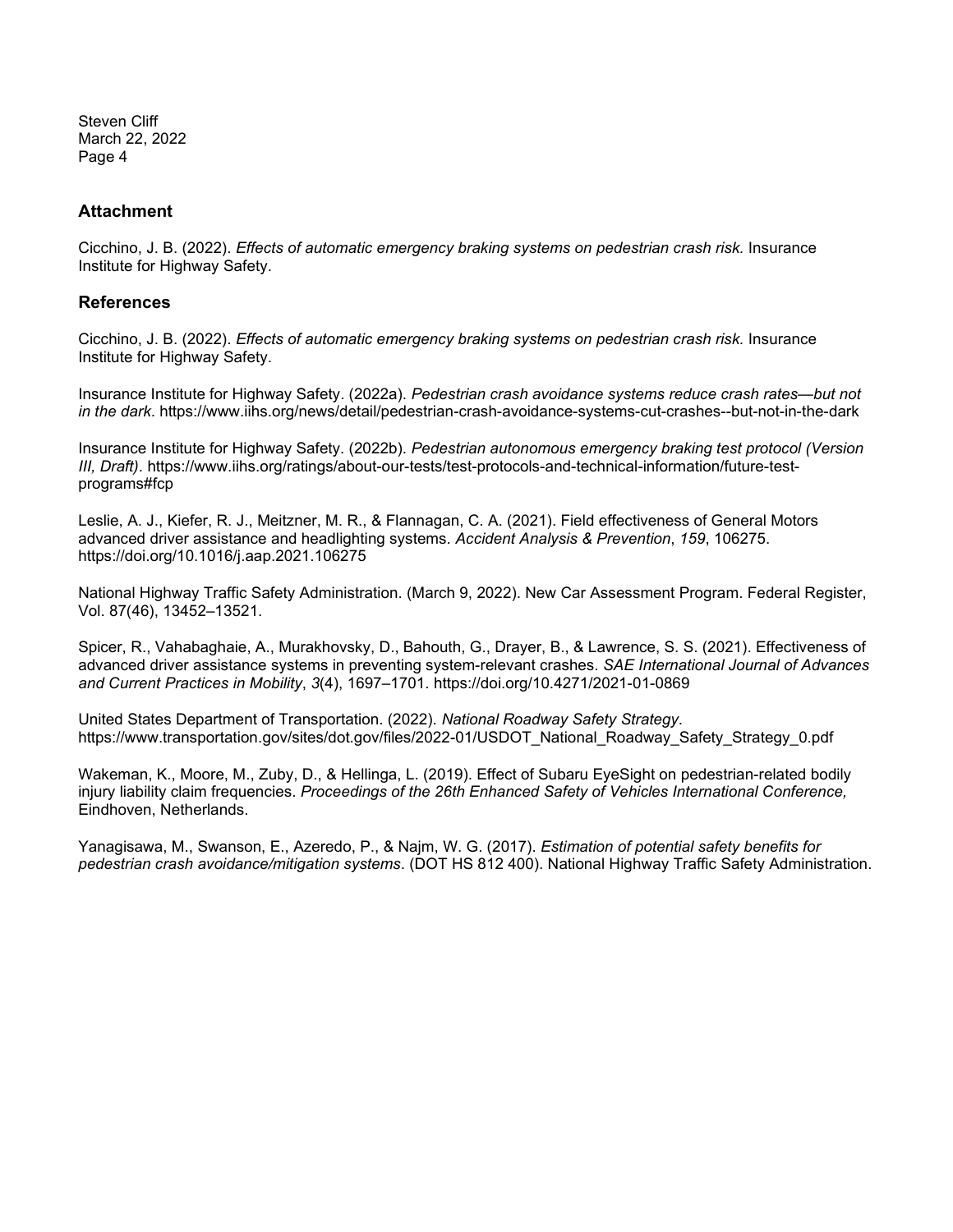Steven Cliff March 22, 2022 Page 4

#### **Attachment**

Cicchino, J. B. (2022). *Effects of automatic emergency braking systems on pedestrian crash risk.* Insurance Institute for Highway Safety.

#### **References**

Cicchino, J. B. (2022). *Effects of automatic emergency braking systems on pedestrian crash risk.* Insurance Institute for Highway Safety.

Insurance Institute for Highway Safety. (2022a). *Pedestrian crash avoidance systems reduce crash rates—but not in the dark*. https://www.iihs.org/news/detail/pedestrian-crash-avoidance-systems-cut-crashes--but-not-in-the-dark

Insurance Institute for Highway Safety. (2022b). *Pedestrian autonomous emergency braking test protocol (Version III, Draft)*. https://www.iihs.org/ratings/about-our-tests/test-protocols-and-technical-information/future-testprograms#fcp

Leslie, A. J., Kiefer, R. J., Meitzner, M. R., & Flannagan, C. A. (2021). Field effectiveness of General Motors advanced driver assistance and headlighting systems. *Accident Analysis & Prevention*, *159*, 106275. https://doi.org/10.1016/j.aap.2021.106275

National Highway Traffic Safety Administration. (March 9, 2022). New Car Assessment Program. Federal Register, Vol. 87(46), 13452–13521.

Spicer, R., Vahabaghaie, A., Murakhovsky, D., Bahouth, G., Drayer, B., & Lawrence, S. S. (2021). Effectiveness of advanced driver assistance systems in preventing system-relevant crashes. *SAE International Journal of Advances and Current Practices in Mobility*, *3*(4), 1697–1701. https://doi.org/10.4271/2021-01-0869

United States Department of Transportation. (2022). *National Roadway Safety Strategy*. https://www.transportation.gov/sites/dot.gov/files/2022-01/USDOT\_National\_Roadway\_Safety\_Strategy\_0.pdf

Wakeman, K., Moore, M., Zuby, D., & Hellinga, L. (2019). Effect of Subaru EyeSight on pedestrian-related bodily injury liability claim frequencies. *Proceedings of the 26th Enhanced Safety of Vehicles International Conference,* Eindhoven, Netherlands.

Yanagisawa, M., Swanson, E., Azeredo, P., & Najm, W. G. (2017). *Estimation of potential safety benefits for pedestrian crash avoidance/mitigation systems*. (DOT HS 812 400). National Highway Traffic Safety Administration.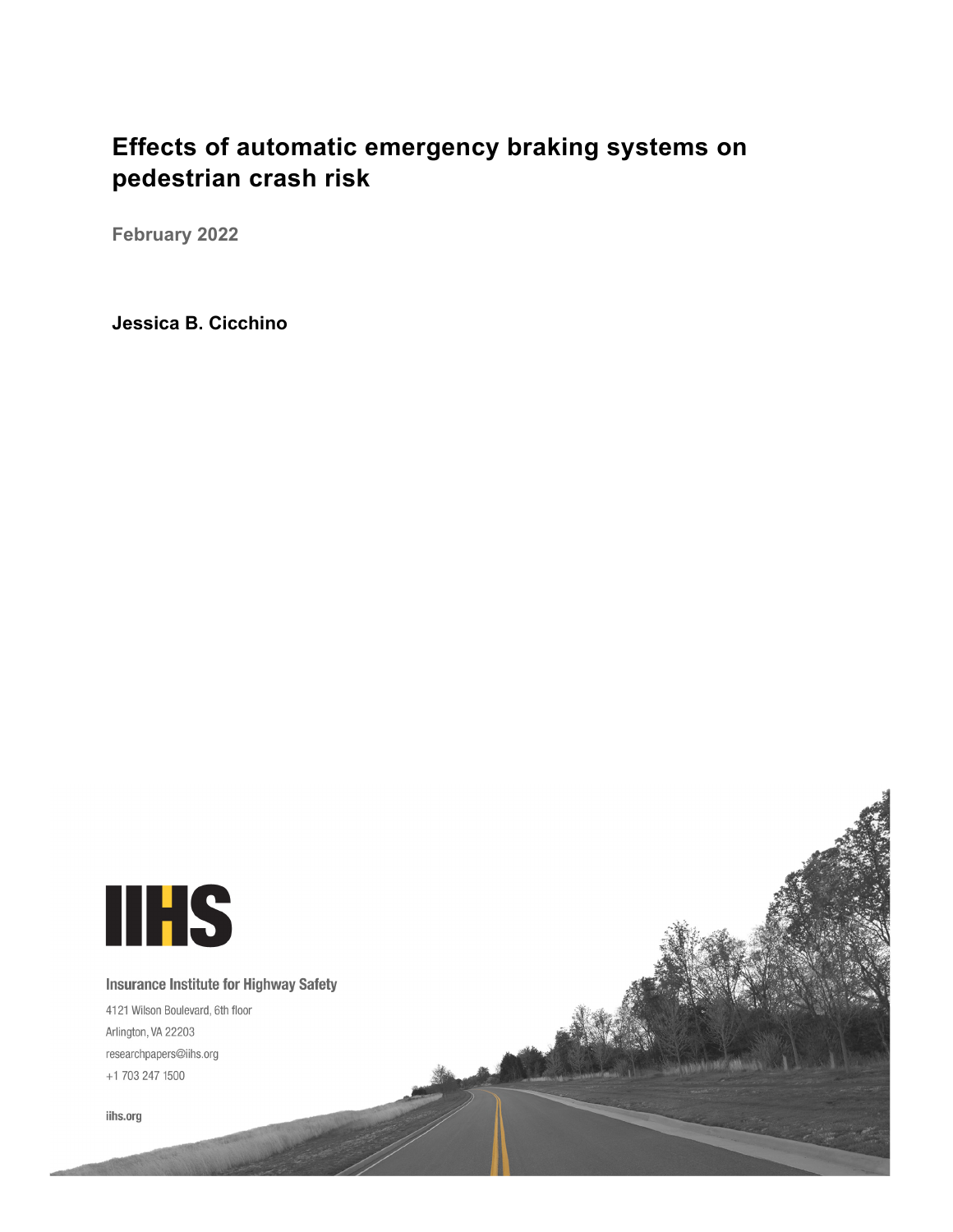# **Effects of automatic emergency braking systems on pedestrian crash risk**

**February 2022** 

**Jessica B. Cicchino**

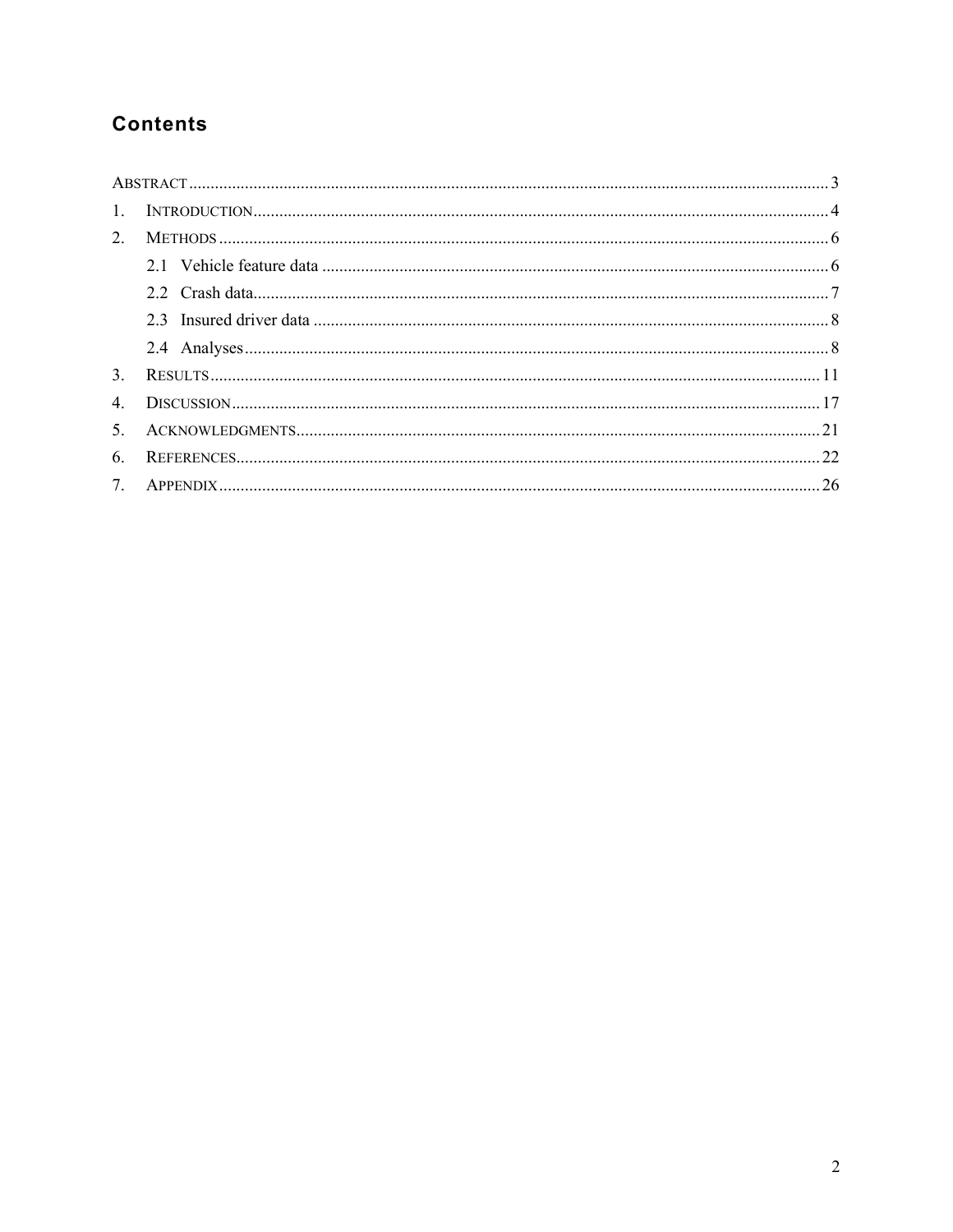## **Contents**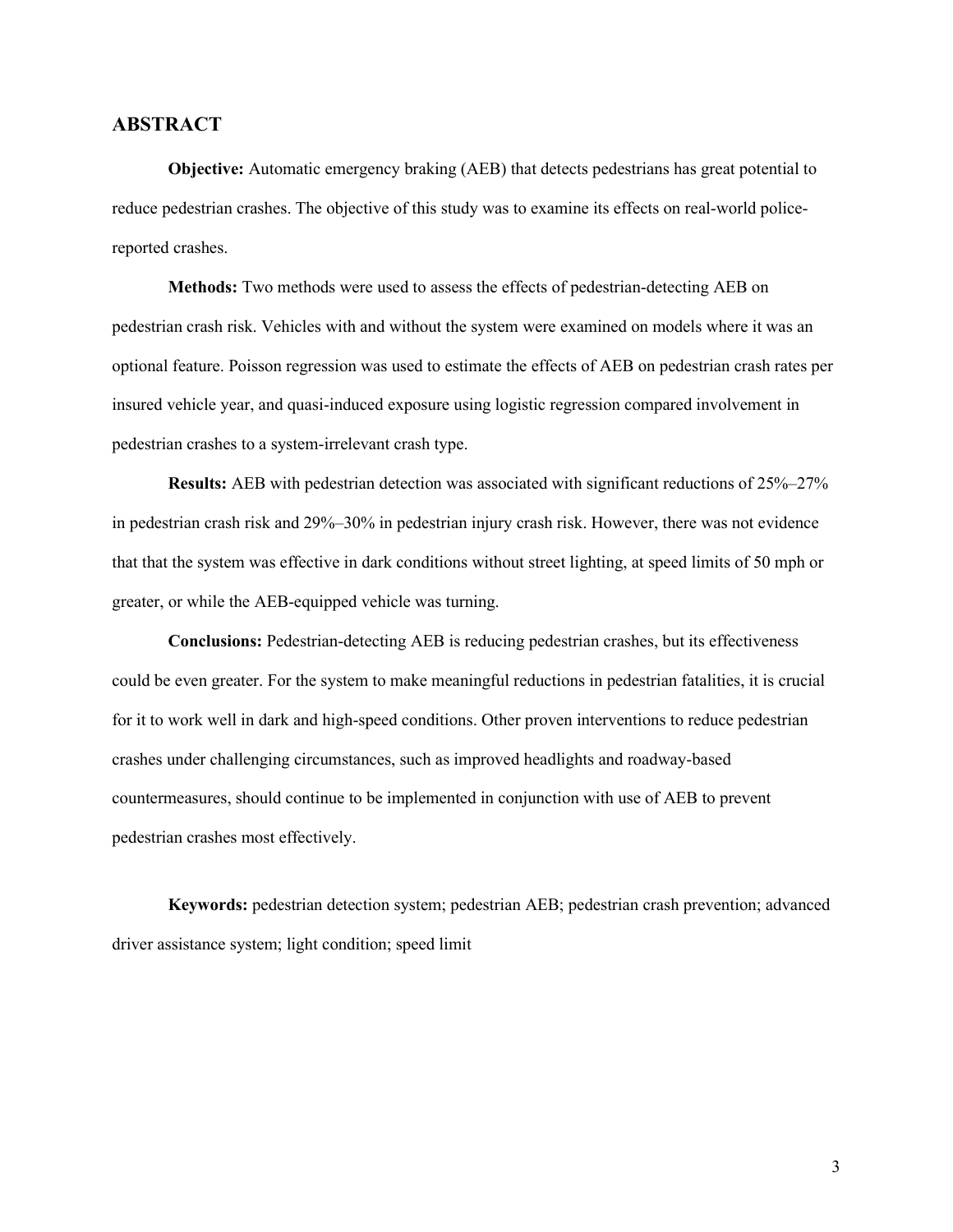#### <span id="page-6-0"></span>**ABSTRACT**

**Objective:** Automatic emergency braking (AEB) that detects pedestrians has great potential to reduce pedestrian crashes. The objective of this study was to examine its effects on real-world policereported crashes.

**Methods:** Two methods were used to assess the effects of pedestrian-detecting AEB on pedestrian crash risk. Vehicles with and without the system were examined on models where it was an optional feature. Poisson regression was used to estimate the effects of AEB on pedestrian crash rates per insured vehicle year, and quasi-induced exposure using logistic regression compared involvement in pedestrian crashes to a system-irrelevant crash type.

**Results:** AEB with pedestrian detection was associated with significant reductions of 25%–27% in pedestrian crash risk and 29%–30% in pedestrian injury crash risk. However, there was not evidence that that the system was effective in dark conditions without street lighting, at speed limits of 50 mph or greater, or while the AEB-equipped vehicle was turning.

**Conclusions:** Pedestrian-detecting AEB is reducing pedestrian crashes, but its effectiveness could be even greater. For the system to make meaningful reductions in pedestrian fatalities, it is crucial for it to work well in dark and high-speed conditions. Other proven interventions to reduce pedestrian crashes under challenging circumstances, such as improved headlights and roadway-based countermeasures, should continue to be implemented in conjunction with use of AEB to prevent pedestrian crashes most effectively.

**Keywords:** pedestrian detection system; pedestrian AEB; pedestrian crash prevention; advanced driver assistance system; light condition; speed limit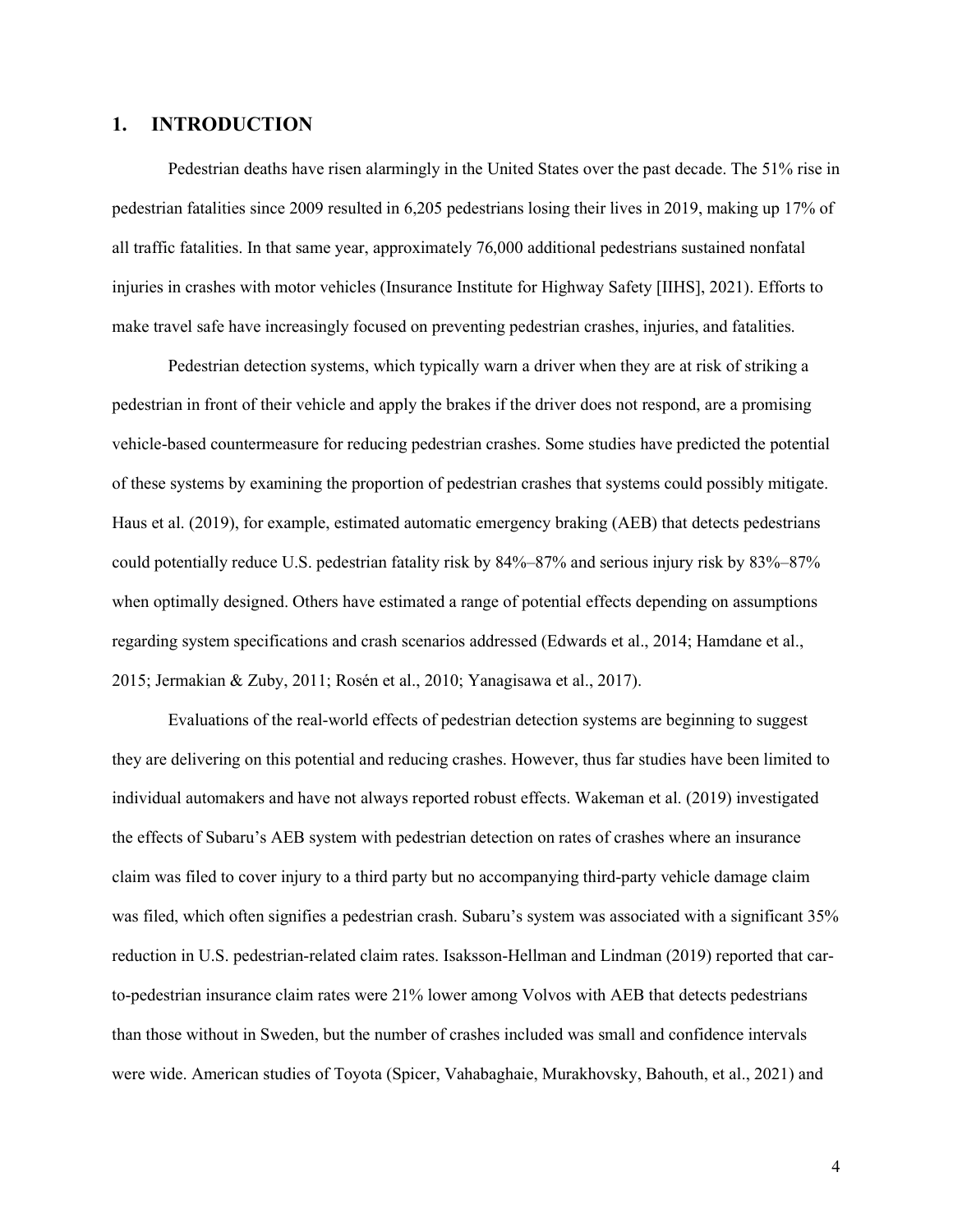#### <span id="page-7-0"></span>**1. INTRODUCTION**

Pedestrian deaths have risen alarmingly in the United States over the past decade. The 51% rise in pedestrian fatalities since 2009 resulted in 6,205 pedestrians losing their lives in 2019, making up 17% of all traffic fatalities. In that same year, approximately 76,000 additional pedestrians sustained nonfatal injuries in crashes with motor vehicles (Insurance Institute for Highway Safety [IIHS], 2021). Efforts to make travel safe have increasingly focused on preventing pedestrian crashes, injuries, and fatalities.

Pedestrian detection systems, which typically warn a driver when they are at risk of striking a pedestrian in front of their vehicle and apply the brakes if the driver does not respond, are a promising vehicle-based countermeasure for reducing pedestrian crashes. Some studies have predicted the potential of these systems by examining the proportion of pedestrian crashes that systems could possibly mitigate. Haus et al. (2019), for example, estimated automatic emergency braking (AEB) that detects pedestrians could potentially reduce U.S. pedestrian fatality risk by 84%–87% and serious injury risk by 83%–87% when optimally designed. Others have estimated a range of potential effects depending on assumptions regarding system specifications and crash scenarios addressed (Edwards et al., 2014; Hamdane et al., 2015; Jermakian & Zuby, 2011; Rosén et al., 2010; Yanagisawa et al., 2017).

Evaluations of the real-world effects of pedestrian detection systems are beginning to suggest they are delivering on this potential and reducing crashes. However, thus far studies have been limited to individual automakers and have not always reported robust effects. Wakeman et al. (2019) investigated the effects of Subaru's AEB system with pedestrian detection on rates of crashes where an insurance claim was filed to cover injury to a third party but no accompanying third-party vehicle damage claim was filed, which often signifies a pedestrian crash. Subaru's system was associated with a significant 35% reduction in U.S. pedestrian-related claim rates. Isaksson-Hellman and Lindman (2019) reported that carto-pedestrian insurance claim rates were 21% lower among Volvos with AEB that detects pedestrians than those without in Sweden, but the number of crashes included was small and confidence intervals were wide. American studies of Toyota (Spicer, Vahabaghaie, Murakhovsky, Bahouth, et al., 2021) and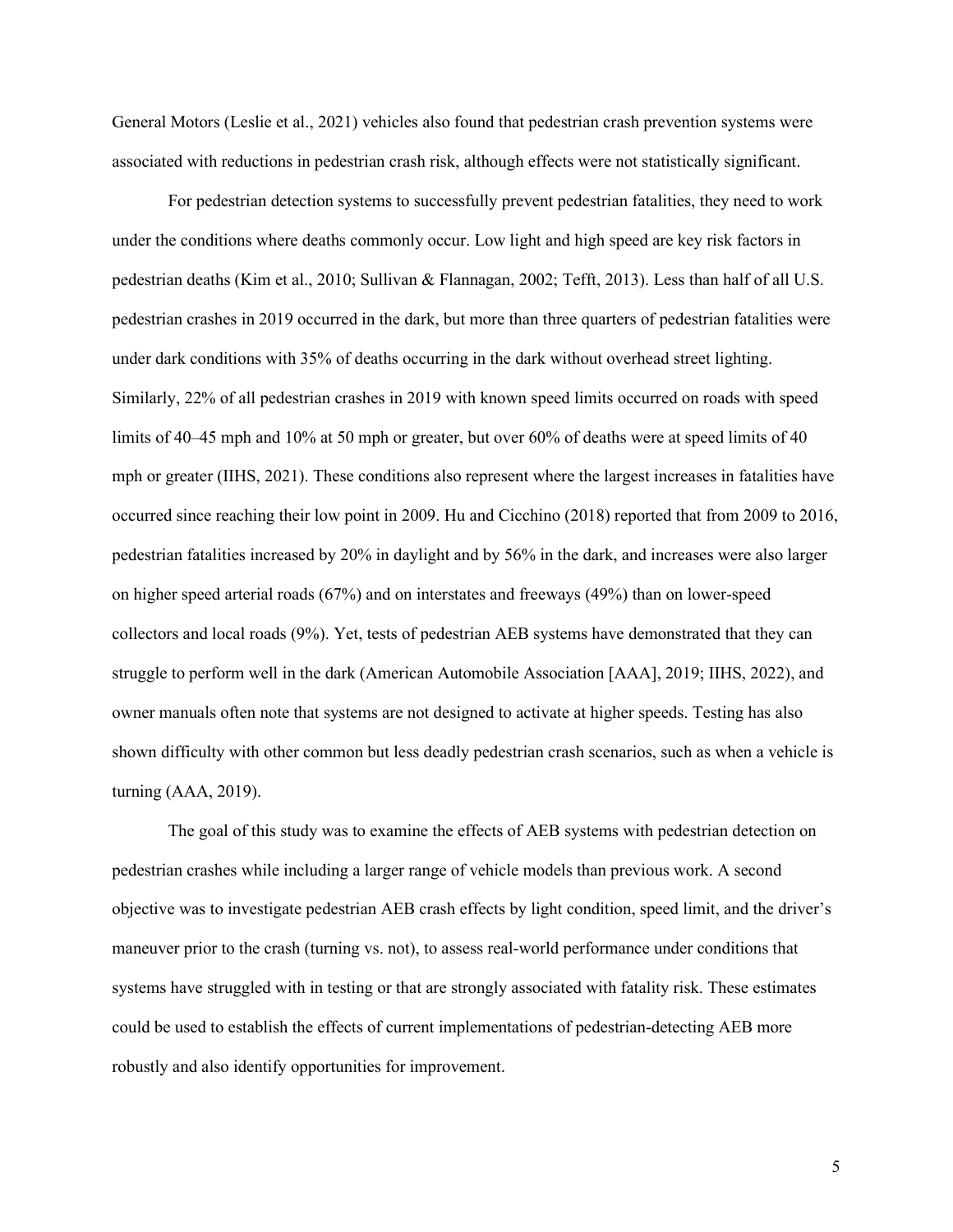General Motors (Leslie et al., 2021) vehicles also found that pedestrian crash prevention systems were associated with reductions in pedestrian crash risk, although effects were not statistically significant.

For pedestrian detection systems to successfully prevent pedestrian fatalities, they need to work under the conditions where deaths commonly occur. Low light and high speed are key risk factors in pedestrian deaths (Kim et al., 2010; Sullivan & Flannagan, 2002; Tefft, 2013). Less than half of all U.S. pedestrian crashes in 2019 occurred in the dark, but more than three quarters of pedestrian fatalities were under dark conditions with 35% of deaths occurring in the dark without overhead street lighting. Similarly, 22% of all pedestrian crashes in 2019 with known speed limits occurred on roads with speed limits of 40–45 mph and 10% at 50 mph or greater, but over 60% of deaths were at speed limits of 40 mph or greater (IIHS, 2021). These conditions also represent where the largest increases in fatalities have occurred since reaching their low point in 2009. Hu and Cicchino (2018) reported that from 2009 to 2016, pedestrian fatalities increased by 20% in daylight and by 56% in the dark, and increases were also larger on higher speed arterial roads (67%) and on interstates and freeways (49%) than on lower-speed collectors and local roads (9%). Yet, tests of pedestrian AEB systems have demonstrated that they can struggle to perform well in the dark (American Automobile Association [AAA], 2019; IIHS, 2022), and owner manuals often note that systems are not designed to activate at higher speeds. Testing has also shown difficulty with other common but less deadly pedestrian crash scenarios, such as when a vehicle is turning (AAA, 2019).

The goal of this study was to examine the effects of AEB systems with pedestrian detection on pedestrian crashes while including a larger range of vehicle models than previous work. A second objective was to investigate pedestrian AEB crash effects by light condition, speed limit, and the driver's maneuver prior to the crash (turning vs. not), to assess real-world performance under conditions that systems have struggled with in testing or that are strongly associated with fatality risk. These estimates could be used to establish the effects of current implementations of pedestrian-detecting AEB more robustly and also identify opportunities for improvement.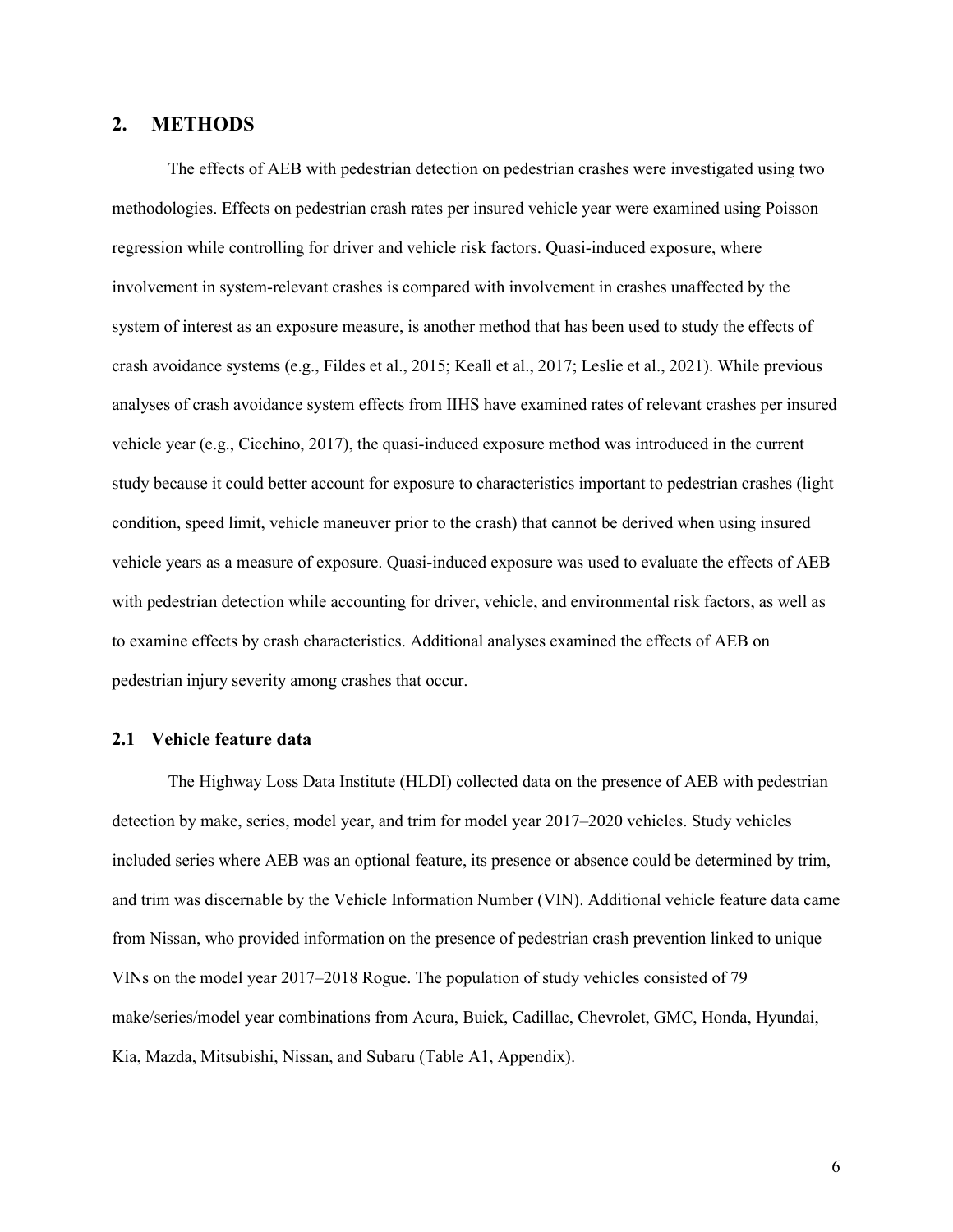#### <span id="page-9-0"></span>**2. METHODS**

The effects of AEB with pedestrian detection on pedestrian crashes were investigated using two methodologies. Effects on pedestrian crash rates per insured vehicle year were examined using Poisson regression while controlling for driver and vehicle risk factors. Quasi-induced exposure, where involvement in system-relevant crashes is compared with involvement in crashes unaffected by the system of interest as an exposure measure, is another method that has been used to study the effects of crash avoidance systems (e.g., Fildes et al., 2015; Keall et al., 2017; Leslie et al., 2021). While previous analyses of crash avoidance system effects from IIHS have examined rates of relevant crashes per insured vehicle year (e.g., Cicchino, 2017), the quasi-induced exposure method was introduced in the current study because it could better account for exposure to characteristics important to pedestrian crashes (light condition, speed limit, vehicle maneuver prior to the crash) that cannot be derived when using insured vehicle years as a measure of exposure. Quasi-induced exposure was used to evaluate the effects of AEB with pedestrian detection while accounting for driver, vehicle, and environmental risk factors, as well as to examine effects by crash characteristics. Additional analyses examined the effects of AEB on pedestrian injury severity among crashes that occur.

#### <span id="page-9-1"></span>**2.1 Vehicle feature data**

The Highway Loss Data Institute (HLDI) collected data on the presence of AEB with pedestrian detection by make, series, model year, and trim for model year 2017–2020 vehicles. Study vehicles included series where AEB was an optional feature, its presence or absence could be determined by trim, and trim was discernable by the Vehicle Information Number (VIN). Additional vehicle feature data came from Nissan, who provided information on the presence of pedestrian crash prevention linked to unique VINs on the model year 2017–2018 Rogue. The population of study vehicles consisted of 79 make/series/model year combinations from Acura, Buick, Cadillac, Chevrolet, GMC, Honda, Hyundai, Kia, Mazda, Mitsubishi, Nissan, and Subaru (Table A1, Appendix).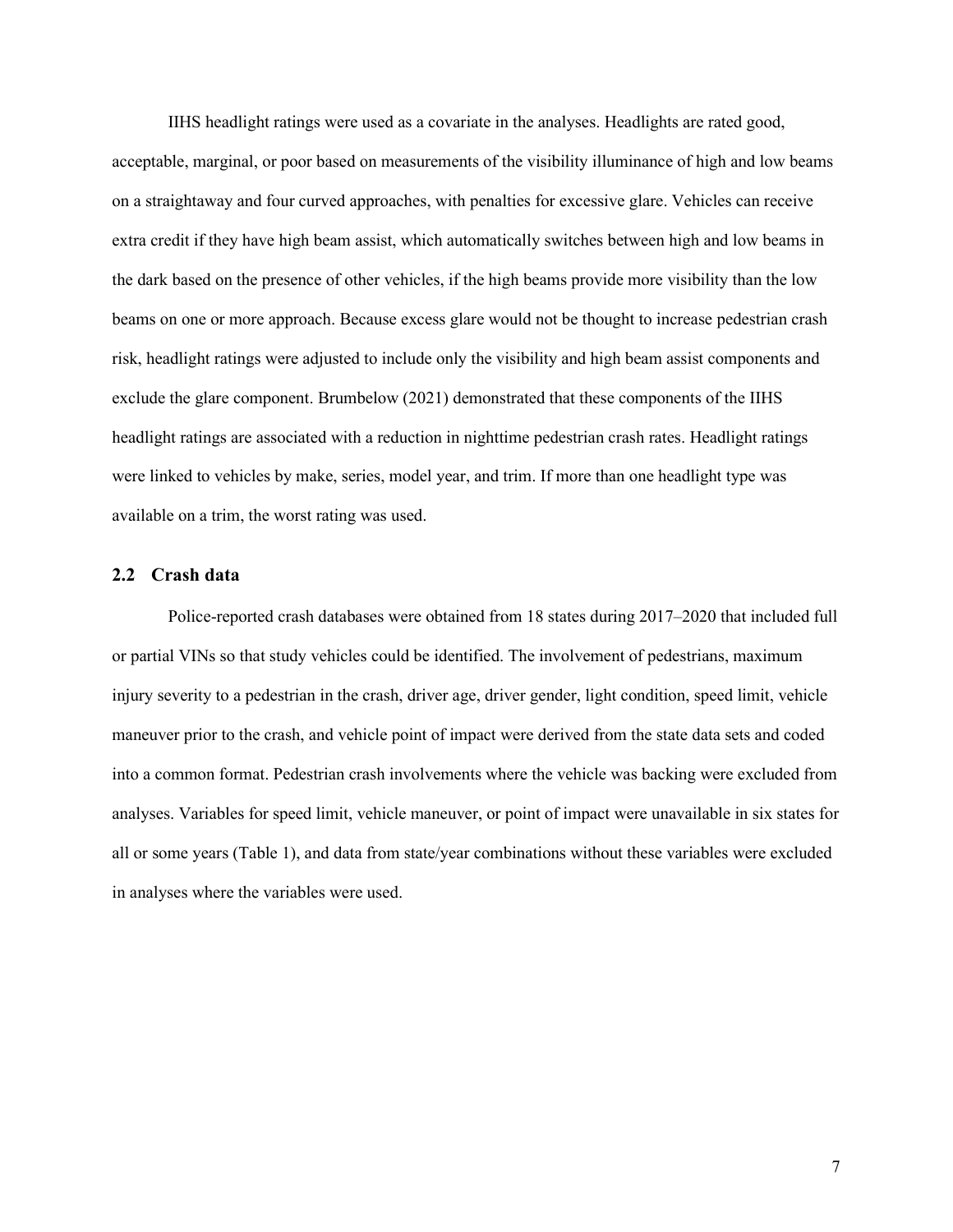IIHS headlight ratings were used as a covariate in the analyses. Headlights are rated good, acceptable, marginal, or poor based on measurements of the visibility illuminance of high and low beams on a straightaway and four curved approaches, with penalties for excessive glare. Vehicles can receive extra credit if they have high beam assist, which automatically switches between high and low beams in the dark based on the presence of other vehicles, if the high beams provide more visibility than the low beams on one or more approach. Because excess glare would not be thought to increase pedestrian crash risk, headlight ratings were adjusted to include only the visibility and high beam assist components and exclude the glare component. Brumbelow (2021) demonstrated that these components of the IIHS headlight ratings are associated with a reduction in nighttime pedestrian crash rates. Headlight ratings were linked to vehicles by make, series, model year, and trim. If more than one headlight type was available on a trim, the worst rating was used.

#### <span id="page-10-0"></span>**2.2 Crash data**

Police-reported crash databases were obtained from 18 states during 2017–2020 that included full or partial VINs so that study vehicles could be identified. The involvement of pedestrians, maximum injury severity to a pedestrian in the crash, driver age, driver gender, light condition, speed limit, vehicle maneuver prior to the crash, and vehicle point of impact were derived from the state data sets and coded into a common format. Pedestrian crash involvements where the vehicle was backing were excluded from analyses. Variables for speed limit, vehicle maneuver, or point of impact were unavailable in six states for all or some years (Table 1), and data from state/year combinations without these variables were excluded in analyses where the variables were used.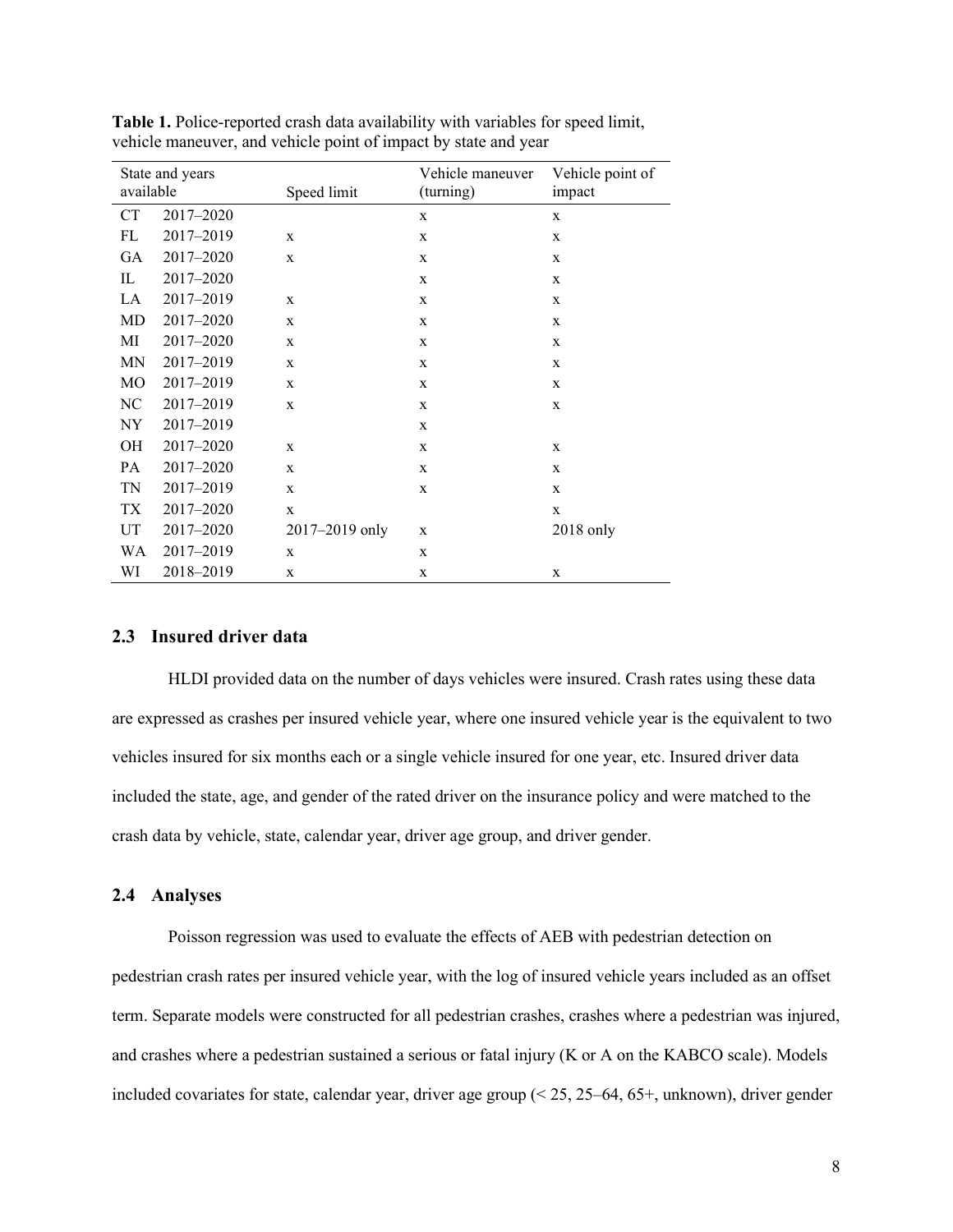| available | State and years | Speed limit    | Vehicle maneuver<br>(turning) | Vehicle point of<br>impact |
|-----------|-----------------|----------------|-------------------------------|----------------------------|
| <b>CT</b> | 2017-2020       |                | X                             | X                          |
| FL        | 2017-2019       | X              | X                             | X                          |
| <b>GA</b> | 2017-2020       | $\mathbf X$    | $\mathbf X$                   | X                          |
| IL        | 2017-2020       |                | X                             | X                          |
| LA        | 2017-2019       | X              | X                             | X                          |
| MD        | 2017-2020       | $\mathbf X$    | X                             | X                          |
| МI        | 2017-2020       | $\mathbf X$    | X                             | X                          |
| MN        | 2017-2019       | X              | X                             | X                          |
| MO        | 2017-2019       | $\mathbf X$    | X                             | X                          |
| NC        | 2017-2019       | $\mathbf X$    | X                             | X                          |
| NY.       | 2017-2019       |                | X                             |                            |
| <b>OH</b> | 2017-2020       | X              | X                             | X                          |
| PA        | 2017-2020       | $\mathbf X$    | X                             | X                          |
| TN        | 2017-2019       | $\mathbf X$    | X                             | X                          |
| TX        | 2017-2020       | $\mathbf X$    |                               | X                          |
| UT        | 2017-2020       | 2017-2019 only | X                             | 2018 only                  |
| WA        | 2017-2019       | X              | X                             |                            |
| WI        | 2018-2019       | $\mathbf X$    | X                             | X                          |

**Table 1.** Police-reported crash data availability with variables for speed limit, vehicle maneuver, and vehicle point of impact by state and year

#### <span id="page-11-0"></span>**2.3 Insured driver data**

HLDI provided data on the number of days vehicles were insured. Crash rates using these data are expressed as crashes per insured vehicle year, where one insured vehicle year is the equivalent to two vehicles insured for six months each or a single vehicle insured for one year, etc. Insured driver data included the state, age, and gender of the rated driver on the insurance policy and were matched to the crash data by vehicle, state, calendar year, driver age group, and driver gender.

#### <span id="page-11-1"></span>**2.4 Analyses**

Poisson regression was used to evaluate the effects of AEB with pedestrian detection on pedestrian crash rates per insured vehicle year, with the log of insured vehicle years included as an offset term. Separate models were constructed for all pedestrian crashes, crashes where a pedestrian was injured, and crashes where a pedestrian sustained a serious or fatal injury (K or A on the KABCO scale). Models included covariates for state, calendar year, driver age group (< 25, 25–64, 65+, unknown), driver gender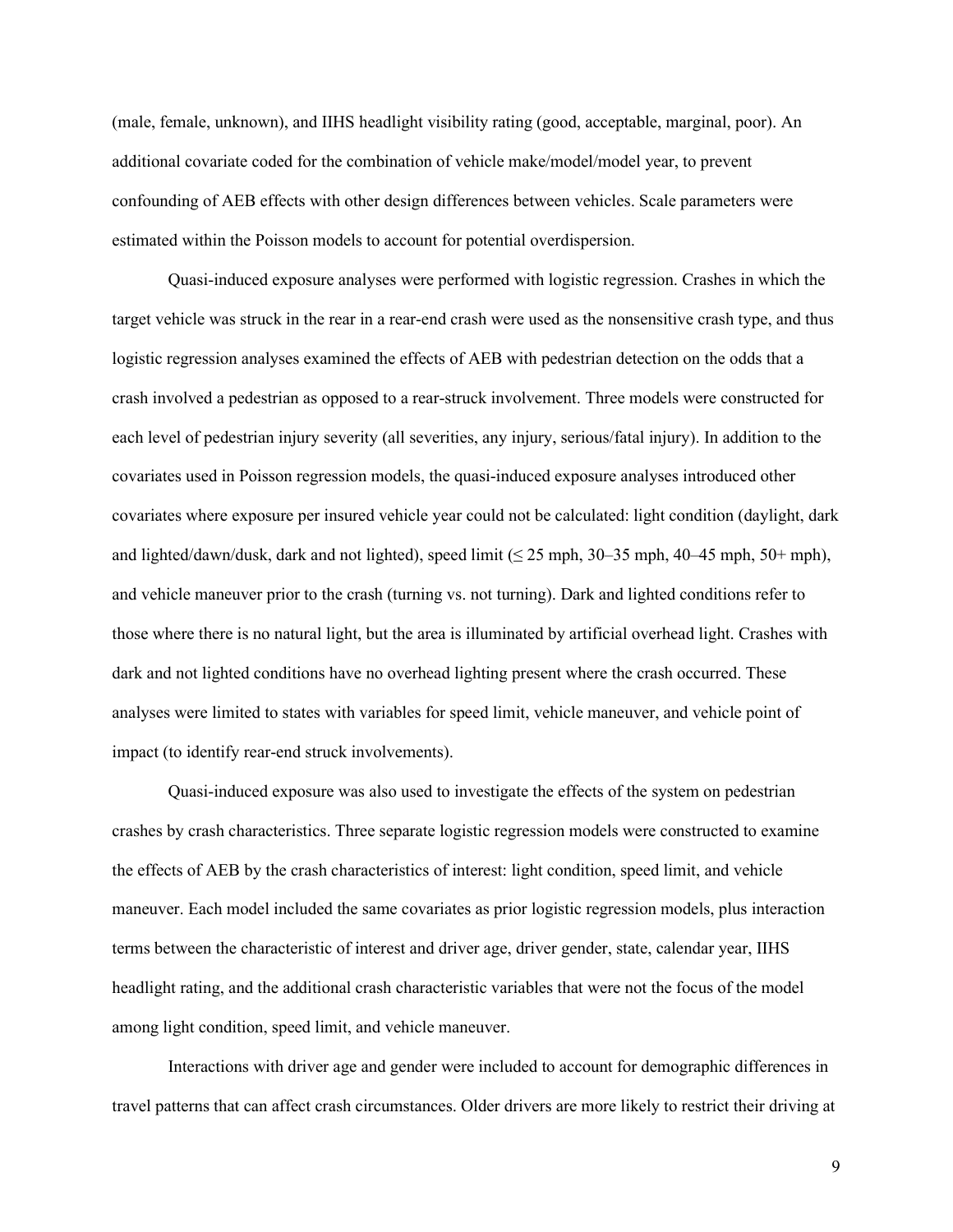(male, female, unknown), and IIHS headlight visibility rating (good, acceptable, marginal, poor). An additional covariate coded for the combination of vehicle make/model/model year, to prevent confounding of AEB effects with other design differences between vehicles. Scale parameters were estimated within the Poisson models to account for potential overdispersion.

Quasi-induced exposure analyses were performed with logistic regression. Crashes in which the target vehicle was struck in the rear in a rear-end crash were used as the nonsensitive crash type, and thus logistic regression analyses examined the effects of AEB with pedestrian detection on the odds that a crash involved a pedestrian as opposed to a rear-struck involvement. Three models were constructed for each level of pedestrian injury severity (all severities, any injury, serious/fatal injury). In addition to the covariates used in Poisson regression models, the quasi-induced exposure analyses introduced other covariates where exposure per insured vehicle year could not be calculated: light condition (daylight, dark and lighted/dawn/dusk, dark and not lighted), speed limit ( $\leq$  25 mph, 30–35 mph, 40–45 mph, 50+ mph), and vehicle maneuver prior to the crash (turning vs. not turning). Dark and lighted conditions refer to those where there is no natural light, but the area is illuminated by artificial overhead light. Crashes with dark and not lighted conditions have no overhead lighting present where the crash occurred. These analyses were limited to states with variables for speed limit, vehicle maneuver, and vehicle point of impact (to identify rear-end struck involvements).

Quasi-induced exposure was also used to investigate the effects of the system on pedestrian crashes by crash characteristics. Three separate logistic regression models were constructed to examine the effects of AEB by the crash characteristics of interest: light condition, speed limit, and vehicle maneuver. Each model included the same covariates as prior logistic regression models, plus interaction terms between the characteristic of interest and driver age, driver gender, state, calendar year, IIHS headlight rating, and the additional crash characteristic variables that were not the focus of the model among light condition, speed limit, and vehicle maneuver.

Interactions with driver age and gender were included to account for demographic differences in travel patterns that can affect crash circumstances. Older drivers are more likely to restrict their driving at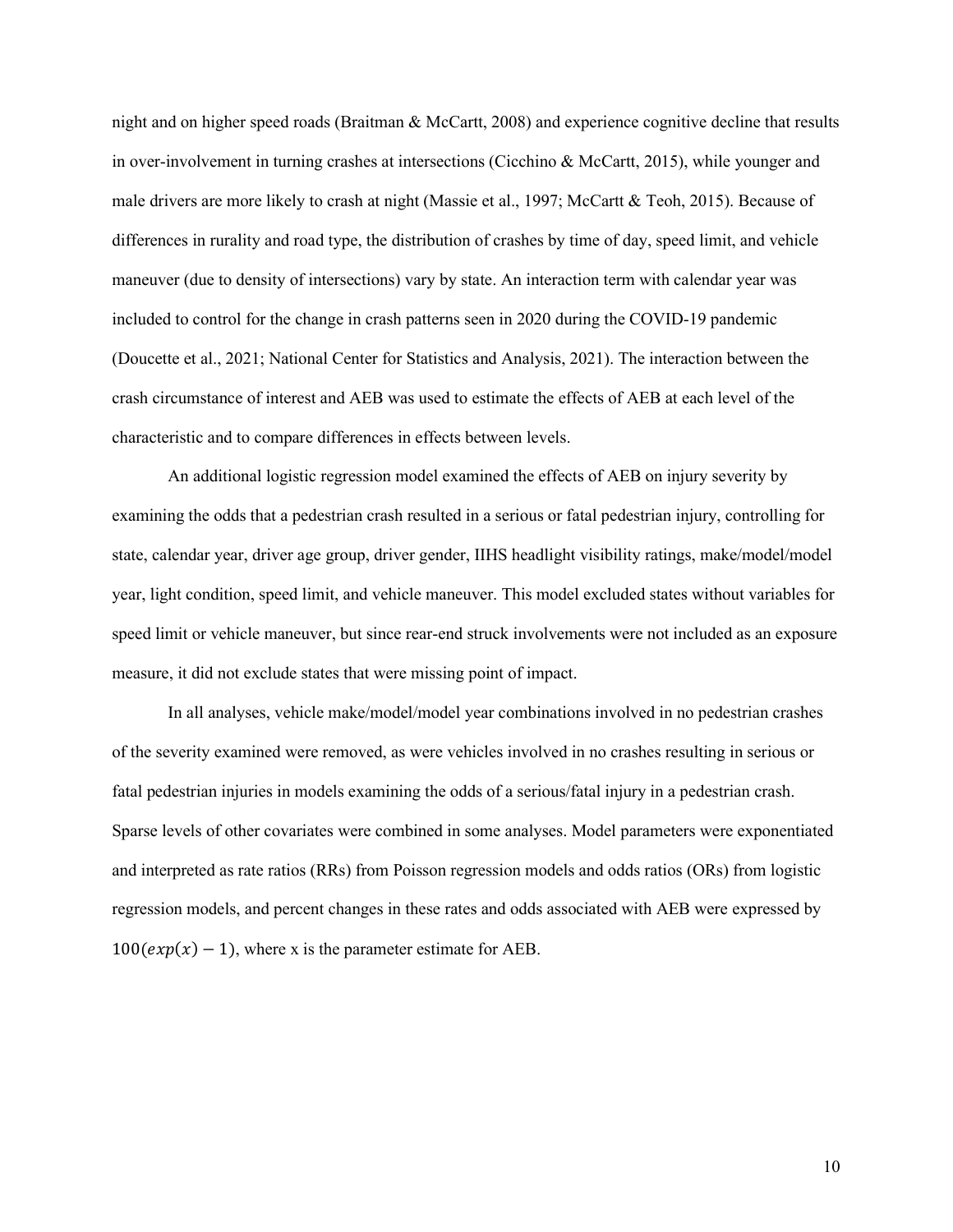night and on higher speed roads (Braitman & McCartt, 2008) and experience cognitive decline that results in over-involvement in turning crashes at intersections (Cicchino & McCartt, 2015), while younger and male drivers are more likely to crash at night (Massie et al., 1997; McCartt & Teoh, 2015). Because of differences in rurality and road type, the distribution of crashes by time of day, speed limit, and vehicle maneuver (due to density of intersections) vary by state. An interaction term with calendar year was included to control for the change in crash patterns seen in 2020 during the COVID-19 pandemic (Doucette et al., 2021; National Center for Statistics and Analysis, 2021). The interaction between the crash circumstance of interest and AEB was used to estimate the effects of AEB at each level of the characteristic and to compare differences in effects between levels.

An additional logistic regression model examined the effects of AEB on injury severity by examining the odds that a pedestrian crash resulted in a serious or fatal pedestrian injury, controlling for state, calendar year, driver age group, driver gender, IIHS headlight visibility ratings, make/model/model year, light condition, speed limit, and vehicle maneuver. This model excluded states without variables for speed limit or vehicle maneuver, but since rear-end struck involvements were not included as an exposure measure, it did not exclude states that were missing point of impact.

In all analyses, vehicle make/model/model year combinations involved in no pedestrian crashes of the severity examined were removed, as were vehicles involved in no crashes resulting in serious or fatal pedestrian injuries in models examining the odds of a serious/fatal injury in a pedestrian crash. Sparse levels of other covariates were combined in some analyses. Model parameters were exponentiated and interpreted as rate ratios (RRs) from Poisson regression models and odds ratios (ORs) from logistic regression models, and percent changes in these rates and odds associated with AEB were expressed by  $100(exp(x) - 1)$ , where x is the parameter estimate for AEB.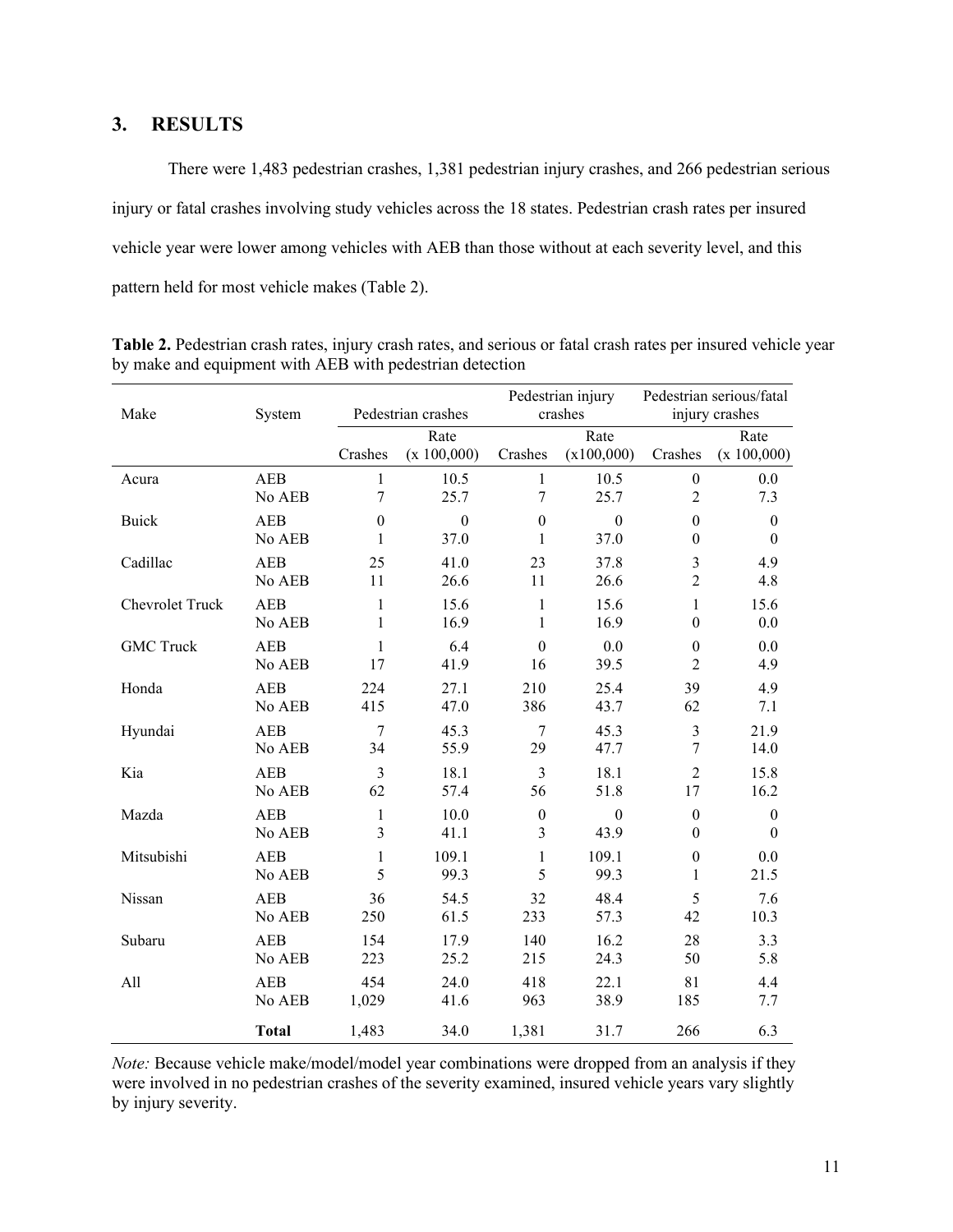### <span id="page-14-0"></span>**3. RESULTS**

There were 1,483 pedestrian crashes, 1,381 pedestrian injury crashes, and 266 pedestrian serious injury or fatal crashes involving study vehicles across the 18 states. Pedestrian crash rates per insured vehicle year were lower among vehicles with AEB than those without at each severity level, and this pattern held for most vehicle makes (Table 2).

| Make             | System       |                  | Pedestrian crashes  |                  | Pedestrian injury<br>crashes |                  | Pedestrian serious/fatal<br>injury crashes |
|------------------|--------------|------------------|---------------------|------------------|------------------------------|------------------|--------------------------------------------|
|                  |              | Crashes          | Rate<br>(x 100,000) | Crashes          | Rate<br>(x100,000)           | Crashes          | Rate<br>(x 100,000)                        |
| Acura            | AEB          | $\mathbf{1}$     | 10.5                | $\mathbf{1}$     | 10.5                         | $\boldsymbol{0}$ | 0.0                                        |
|                  | No AEB       | 7                | 25.7                | $\overline{7}$   | 25.7                         | $\overline{2}$   | 7.3                                        |
| <b>Buick</b>     | <b>AEB</b>   | $\boldsymbol{0}$ | $\boldsymbol{0}$    | $\boldsymbol{0}$ | $\boldsymbol{0}$             | $\boldsymbol{0}$ | $\boldsymbol{0}$                           |
|                  | No AEB       | 1                | 37.0                | $\mathbf{1}$     | 37.0                         | $\boldsymbol{0}$ | $\theta$                                   |
| Cadillac         | <b>AEB</b>   | 25               | 41.0                | 23               | 37.8                         | $\mathfrak{Z}$   | 4.9                                        |
|                  | No AEB       | $11\,$           | 26.6                | 11               | 26.6                         | $\overline{2}$   | 4.8                                        |
| Chevrolet Truck  | <b>AEB</b>   | $\mathbf{1}$     | 15.6                | $\mathbf{1}$     | 15.6                         | $\mathbf{1}$     | 15.6                                       |
|                  | No AEB       | 1                | 16.9                | $\mathbf{1}$     | 16.9                         | $\boldsymbol{0}$ | 0.0                                        |
| <b>GMC Truck</b> | <b>AEB</b>   | 1                | 6.4                 | $\theta$         | 0.0                          | $\boldsymbol{0}$ | 0.0                                        |
|                  | No AEB       | 17               | 41.9                | 16               | 39.5                         | $\overline{c}$   | 4.9                                        |
| Honda            | AEB          | 224              | 27.1                | 210              | 25.4                         | 39               | 4.9                                        |
|                  | No AEB       | 415              | 47.0                | 386              | 43.7                         | 62               | 7.1                                        |
| Hyundai          | <b>AEB</b>   | 7                | 45.3                | $\overline{7}$   | 45.3                         | $\mathfrak{Z}$   | 21.9                                       |
|                  | No AEB       | 34               | 55.9                | 29               | 47.7                         | 7                | 14.0                                       |
| Kia              | <b>AEB</b>   | 3                | 18.1                | $\mathfrak{Z}$   | 18.1                         | $\overline{2}$   | 15.8                                       |
|                  | No AEB       | 62               | 57.4                | 56               | 51.8                         | 17               | 16.2                                       |
| Mazda            | <b>AEB</b>   | $\mathbf{1}$     | 10.0                | $\boldsymbol{0}$ | $\boldsymbol{0}$             | $\boldsymbol{0}$ | $\boldsymbol{0}$                           |
|                  | No AEB       | 3                | 41.1                | 3                | 43.9                         | $\theta$         | $\mathbf{0}$                               |
| Mitsubishi       | <b>AEB</b>   | 1                | 109.1               | $\mathbf{1}$     | 109.1                        | $\boldsymbol{0}$ | 0.0                                        |
|                  | No AEB       | 5                | 99.3                | 5                | 99.3                         | $\mathbf{1}$     | 21.5                                       |
| Nissan           | <b>AEB</b>   | 36               | 54.5                | 32               | 48.4                         | 5                | 7.6                                        |
|                  | No AEB       | 250              | 61.5                | 233              | 57.3                         | 42               | 10.3                                       |
| Subaru           | <b>AEB</b>   | 154              | 17.9                | 140              | 16.2                         | 28               | 3.3                                        |
|                  | No AEB       | 223              | 25.2                | 215              | 24.3                         | 50               | 5.8                                        |
| All              | <b>AEB</b>   | 454              | 24.0                | 418              | 22.1                         | 81               | 4.4                                        |
|                  | No AEB       | 1,029            | 41.6                | 963              | 38.9                         | 185              | 7.7                                        |
|                  | <b>Total</b> | 1,483            | 34.0                | 1,381            | 31.7                         | 266              | 6.3                                        |

**Table 2.** Pedestrian crash rates, injury crash rates, and serious or fatal crash rates per insured vehicle year by make and equipment with AEB with pedestrian detection

*Note:* Because vehicle make/model/model year combinations were dropped from an analysis if they were involved in no pedestrian crashes of the severity examined, insured vehicle years vary slightly by injury severity.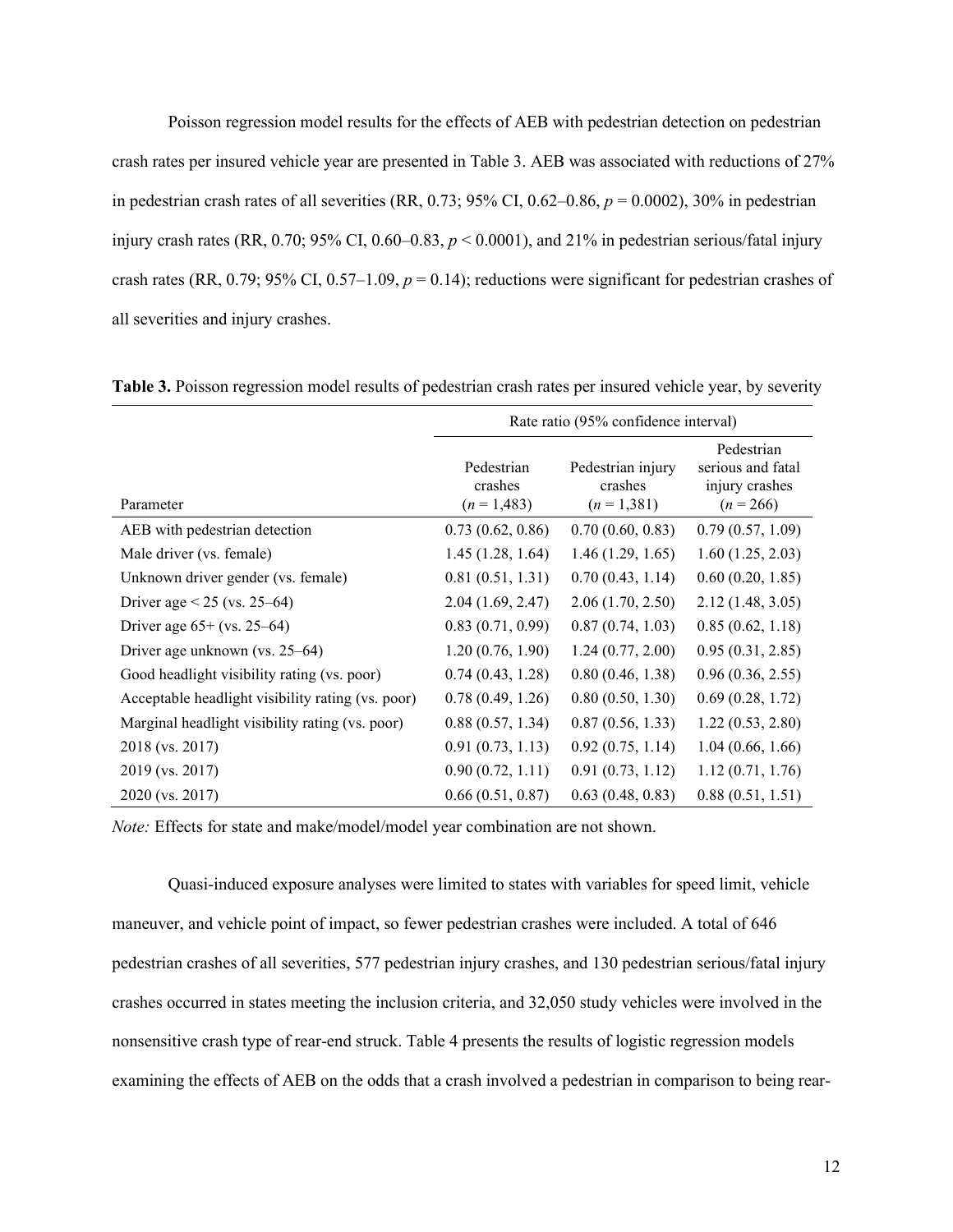Poisson regression model results for the effects of AEB with pedestrian detection on pedestrian crash rates per insured vehicle year are presented in Table 3. AEB was associated with reductions of 27% in pedestrian crash rates of all severities (RR, 0.73; 95% CI, 0.62–0.86, *p* = 0.0002), 30% in pedestrian injury crash rates (RR, 0.70; 95% CI, 0.60–0.83, *p* < 0.0001), and 21% in pedestrian serious/fatal injury crash rates (RR, 0.79; 95% CI, 0.57–1.09,  $p = 0.14$ ); reductions were significant for pedestrian crashes of all severities and injury crashes.

|                                                   | Rate ratio (95% confidence interval) |                                             |                                                                  |  |
|---------------------------------------------------|--------------------------------------|---------------------------------------------|------------------------------------------------------------------|--|
| Parameter                                         | Pedestrian<br>crashes<br>$(n=1,483)$ | Pedestrian injury<br>crashes<br>$(n=1,381)$ | Pedestrian<br>serious and fatal<br>injury crashes<br>$(n = 266)$ |  |
| AEB with pedestrian detection                     | 0.73(0.62, 0.86)                     | 0.70(0.60, 0.83)                            | 0.79(0.57, 1.09)                                                 |  |
| Male driver (vs. female)                          | 1.45(1.28, 1.64)                     | 1.46(1.29, 1.65)                            | 1.60(1.25, 2.03)                                                 |  |
| Unknown driver gender (vs. female)                | 0.81(0.51, 1.31)                     | 0.70(0.43, 1.14)                            | 0.60(0.20, 1.85)                                                 |  |
| Driver age $< 25$ (vs. 25–64)                     | 2.04(1.69, 2.47)                     | 2.06(1.70, 2.50)                            | 2.12(1.48, 3.05)                                                 |  |
| Driver age $65+$ (vs. 25–64)                      | 0.83(0.71, 0.99)                     | 0.87(0.74, 1.03)                            | 0.85(0.62, 1.18)                                                 |  |
| Driver age unknown (vs. $25-64$ )                 | 1.20(0.76, 1.90)                     | 1.24(0.77, 2.00)                            | 0.95(0.31, 2.85)                                                 |  |
| Good headlight visibility rating (vs. poor)       | 0.74(0.43, 1.28)                     | 0.80(0.46, 1.38)                            | 0.96(0.36, 2.55)                                                 |  |
| Acceptable headlight visibility rating (vs. poor) | 0.78(0.49, 1.26)                     | 0.80(0.50, 1.30)                            | 0.69(0.28, 1.72)                                                 |  |
| Marginal headlight visibility rating (vs. poor)   | 0.88(0.57, 1.34)                     | 0.87(0.56, 1.33)                            | 1.22(0.53, 2.80)                                                 |  |
| 2018 (vs. 2017)                                   | 0.91(0.73, 1.13)                     | 0.92(0.75, 1.14)                            | 1.04(0.66, 1.66)                                                 |  |
| 2019 (vs. 2017)                                   | 0.90(0.72, 1.11)                     | 0.91(0.73, 1.12)                            | 1.12(0.71, 1.76)                                                 |  |
| 2020 (vs. 2017)                                   | 0.66(0.51, 0.87)                     | 0.63(0.48, 0.83)                            | 0.88(0.51, 1.51)                                                 |  |

**Table 3.** Poisson regression model results of pedestrian crash rates per insured vehicle year, by severity

*Note:* Effects for state and make/model/model year combination are not shown.

Quasi-induced exposure analyses were limited to states with variables for speed limit, vehicle maneuver, and vehicle point of impact, so fewer pedestrian crashes were included. A total of 646 pedestrian crashes of all severities, 577 pedestrian injury crashes, and 130 pedestrian serious/fatal injury crashes occurred in states meeting the inclusion criteria, and 32,050 study vehicles were involved in the nonsensitive crash type of rear-end struck. Table 4 presents the results of logistic regression models examining the effects of AEB on the odds that a crash involved a pedestrian in comparison to being rear-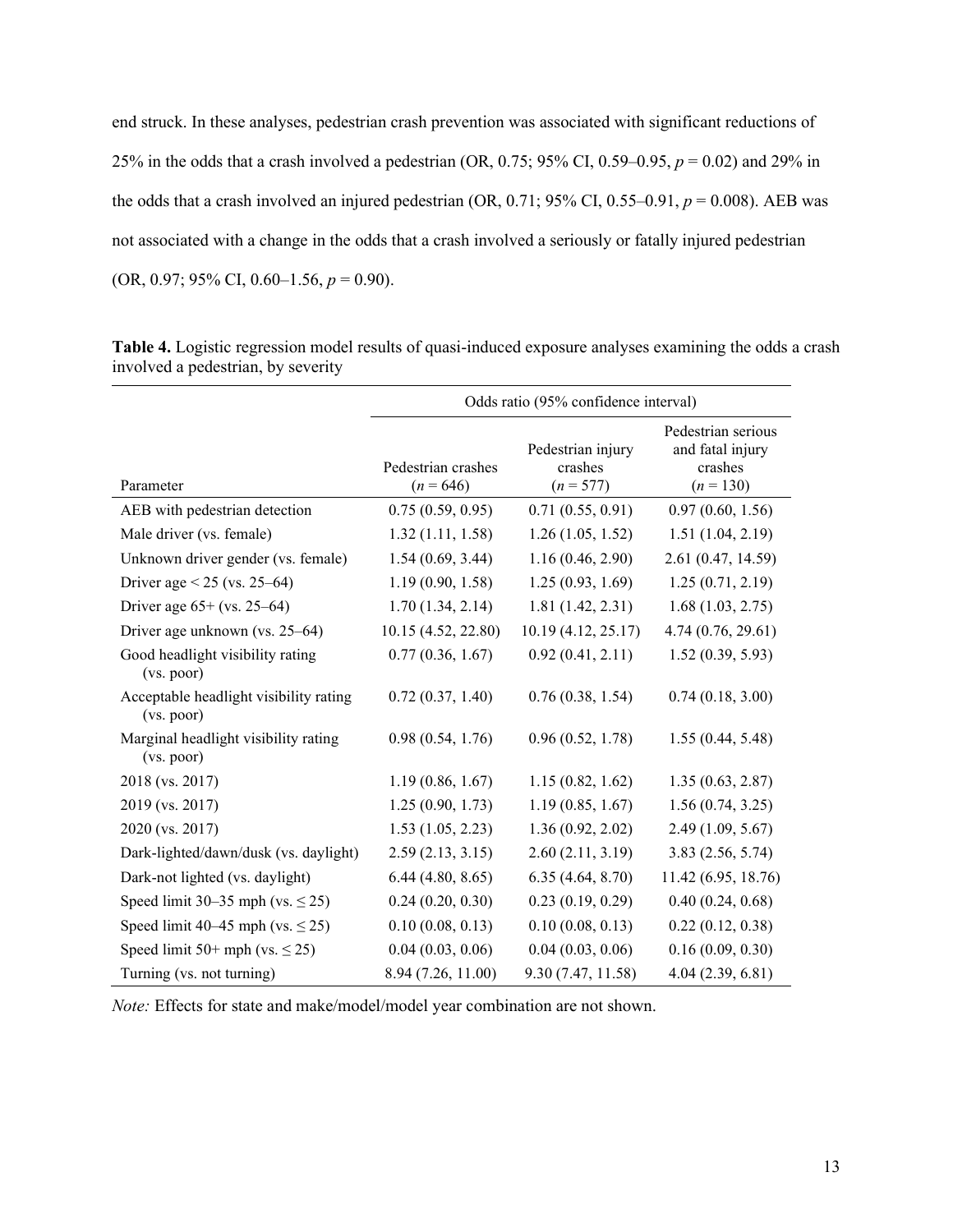end struck. In these analyses, pedestrian crash prevention was associated with significant reductions of 25% in the odds that a crash involved a pedestrian (OR, 0.75; 95% CI, 0.59–0.95, *p* = 0.02) and 29% in the odds that a crash involved an injured pedestrian  $(OR, 0.71; 95\% \text{ CI}, 0.55-0.91, p = 0.008)$ . AEB was not associated with a change in the odds that a crash involved a seriously or fatally injured pedestrian (OR, 0.97; 95% CI, 0.60–1.56, *p* = 0.90).

|                                                      | Odds ratio (95% confidence interval) |                                             |                                                                  |  |
|------------------------------------------------------|--------------------------------------|---------------------------------------------|------------------------------------------------------------------|--|
| Parameter                                            | Pedestrian crashes<br>$(n = 646)$    | Pedestrian injury<br>crashes<br>$(n = 577)$ | Pedestrian serious<br>and fatal injury<br>crashes<br>$(n = 130)$ |  |
| AEB with pedestrian detection                        | 0.75(0.59, 0.95)                     | 0.71(0.55, 0.91)                            | 0.97(0.60, 1.56)                                                 |  |
| Male driver (vs. female)                             | 1.32(1.11, 1.58)                     | 1.26(1.05, 1.52)                            | 1.51(1.04, 2.19)                                                 |  |
| Unknown driver gender (vs. female)                   | 1.54(0.69, 3.44)                     | 1.16(0.46, 2.90)                            | 2.61 (0.47, 14.59)                                               |  |
| Driver age $< 25$ (vs. 25–64)                        | 1.19(0.90, 1.58)                     | 1.25(0.93, 1.69)                            | 1.25(0.71, 2.19)                                                 |  |
| Driver age $65+$ (vs. 25–64)                         | 1.70(1.34, 2.14)                     | 1.81(1.42, 2.31)                            | 1.68(1.03, 2.75)                                                 |  |
| Driver age unknown (vs. 25–64)                       | 10.15 (4.52, 22.80)                  | 10.19 (4.12, 25.17)                         | 4.74 (0.76, 29.61)                                               |  |
| Good headlight visibility rating<br>(vs. poor)       | 0.77(0.36, 1.67)                     | 0.92(0.41, 2.11)                            | 1.52(0.39, 5.93)                                                 |  |
| Acceptable headlight visibility rating<br>(vs. poor) | 0.72(0.37, 1.40)                     | 0.76(0.38, 1.54)                            | 0.74(0.18, 3.00)                                                 |  |
| Marginal headlight visibility rating<br>(vs. poor)   | 0.98(0.54, 1.76)                     | 0.96(0.52, 1.78)                            | 1.55(0.44, 5.48)                                                 |  |
| 2018 (vs. 2017)                                      | 1.19(0.86, 1.67)                     | 1.15(0.82, 1.62)                            | 1.35(0.63, 2.87)                                                 |  |
| 2019 (vs. 2017)                                      | 1.25(0.90, 1.73)                     | 1.19(0.85, 1.67)                            | 1.56(0.74, 3.25)                                                 |  |
| 2020 (vs. 2017)                                      | 1.53(1.05, 2.23)                     | 1.36(0.92, 2.02)                            | 2.49(1.09, 5.67)                                                 |  |
| Dark-lighted/dawn/dusk (vs. daylight)                | 2.59(2.13, 3.15)                     | 2.60(2.11, 3.19)                            | 3.83(2.56, 5.74)                                                 |  |
| Dark-not lighted (vs. daylight)                      | 6.44(4.80, 8.65)                     | 6.35(4.64, 8.70)                            | 11.42 (6.95, 18.76)                                              |  |
| Speed limit 30–35 mph (vs. $\leq$ 25)                | 0.24(0.20, 0.30)                     | 0.23(0.19, 0.29)                            | 0.40(0.24, 0.68)                                                 |  |
| Speed limit 40–45 mph (vs. $\leq$ 25)                | 0.10(0.08, 0.13)                     | 0.10(0.08, 0.13)                            | 0.22(0.12, 0.38)                                                 |  |
| Speed limit 50+ mph (vs. $\leq$ 25)                  | 0.04(0.03, 0.06)                     | 0.04(0.03, 0.06)                            | 0.16(0.09, 0.30)                                                 |  |
| Turning (vs. not turning)                            | 8.94 (7.26, 11.00)                   | 9.30 (7.47, 11.58)                          | 4.04(2.39, 6.81)                                                 |  |

**Table 4.** Logistic regression model results of quasi-induced exposure analyses examining the odds a crash involved a pedestrian, by severity

*Note:* Effects for state and make/model/model year combination are not shown.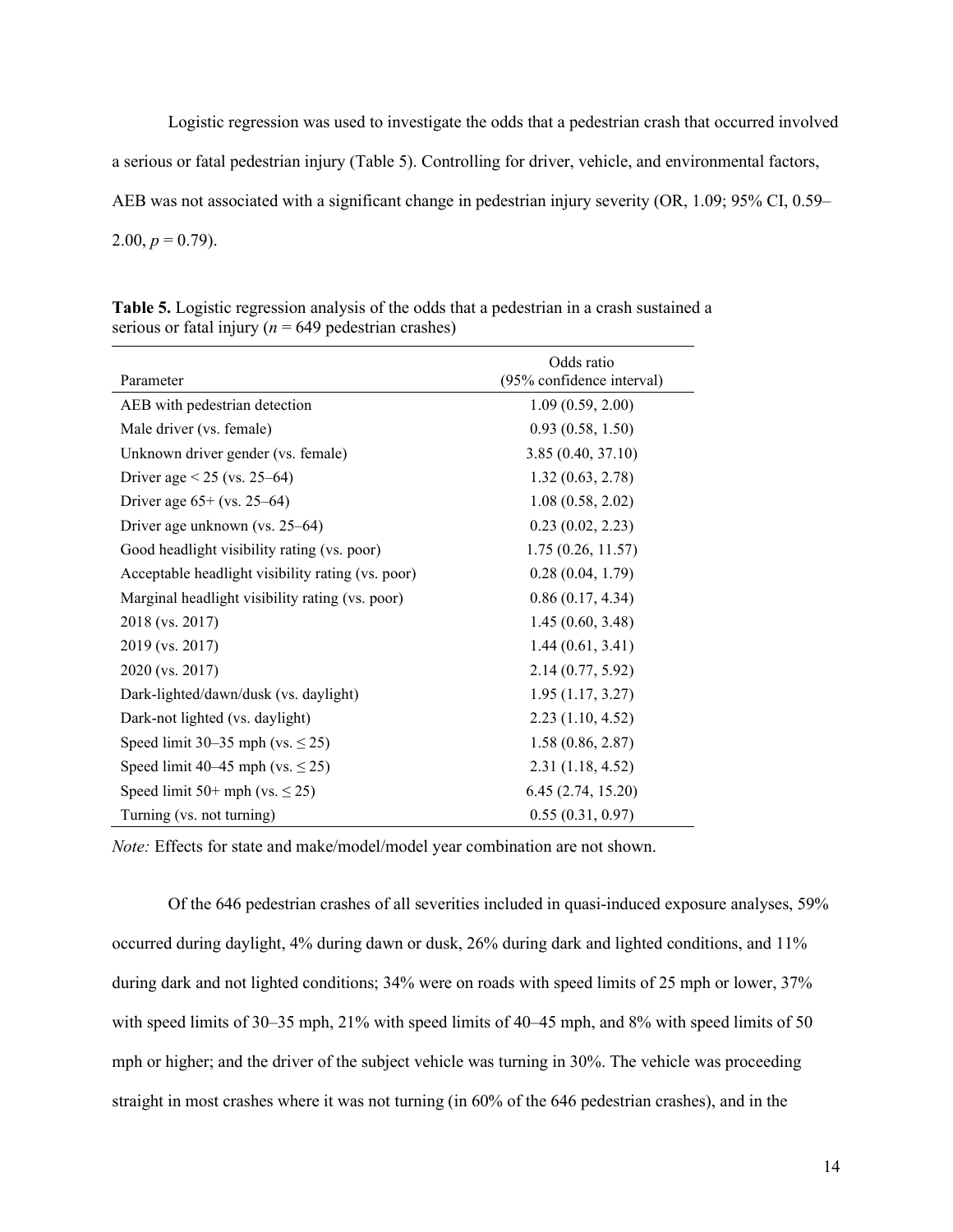Logistic regression was used to investigate the odds that a pedestrian crash that occurred involved a serious or fatal pedestrian injury (Table 5). Controlling for driver, vehicle, and environmental factors, AEB was not associated with a significant change in pedestrian injury severity (OR, 1.09; 95% CI, 0.59– 2.00,  $p = 0.79$ ).

| Parameter                                         | Odds ratio<br>(95% confidence interval) |
|---------------------------------------------------|-----------------------------------------|
| AEB with pedestrian detection                     | 1.09(0.59, 2.00)                        |
| Male driver (vs. female)                          | 0.93(0.58, 1.50)                        |
| Unknown driver gender (vs. female)                | 3.85(0.40, 37.10)                       |
| Driver age $< 25$ (vs. 25–64)                     | 1.32(0.63, 2.78)                        |
| Driver age $65+$ (vs. 25–64)                      | 1.08(0.58, 2.02)                        |
| Driver age unknown (vs. 25–64)                    | 0.23(0.02, 2.23)                        |
| Good headlight visibility rating (vs. poor)       | 1.75(0.26, 11.57)                       |
| Acceptable headlight visibility rating (vs. poor) | 0.28(0.04, 1.79)                        |
| Marginal headlight visibility rating (vs. poor)   | 0.86(0.17, 4.34)                        |
| 2018 (vs. 2017)                                   | 1.45(0.60, 3.48)                        |
| 2019 (vs. 2017)                                   | 1.44(0.61, 3.41)                        |
| 2020 (vs. 2017)                                   | 2.14(0.77, 5.92)                        |
| Dark-lighted/dawn/dusk (vs. daylight)             | 1.95(1.17, 3.27)                        |
| Dark-not lighted (vs. daylight)                   | 2.23(1.10, 4.52)                        |
| Speed limit 30–35 mph (vs. $\leq$ 25)             | 1.58(0.86, 2.87)                        |
| Speed limit 40–45 mph (vs. $\leq$ 25)             | 2.31(1.18, 4.52)                        |
| Speed limit 50+ mph (vs. $\leq$ 25)               | 6.45(2.74, 15.20)                       |
| Turning (vs. not turning)                         | 0.55(0.31, 0.97)                        |

**Table 5.** Logistic regression analysis of the odds that a pedestrian in a crash sustained a serious or fatal injury ( $n = 649$  pedestrian crashes)

*Note:* Effects for state and make/model/model year combination are not shown.

Of the 646 pedestrian crashes of all severities included in quasi-induced exposure analyses, 59% occurred during daylight, 4% during dawn or dusk, 26% during dark and lighted conditions, and 11% during dark and not lighted conditions; 34% were on roads with speed limits of 25 mph or lower, 37% with speed limits of 30–35 mph, 21% with speed limits of 40–45 mph, and 8% with speed limits of 50 mph or higher; and the driver of the subject vehicle was turning in 30%. The vehicle was proceeding straight in most crashes where it was not turning (in 60% of the 646 pedestrian crashes), and in the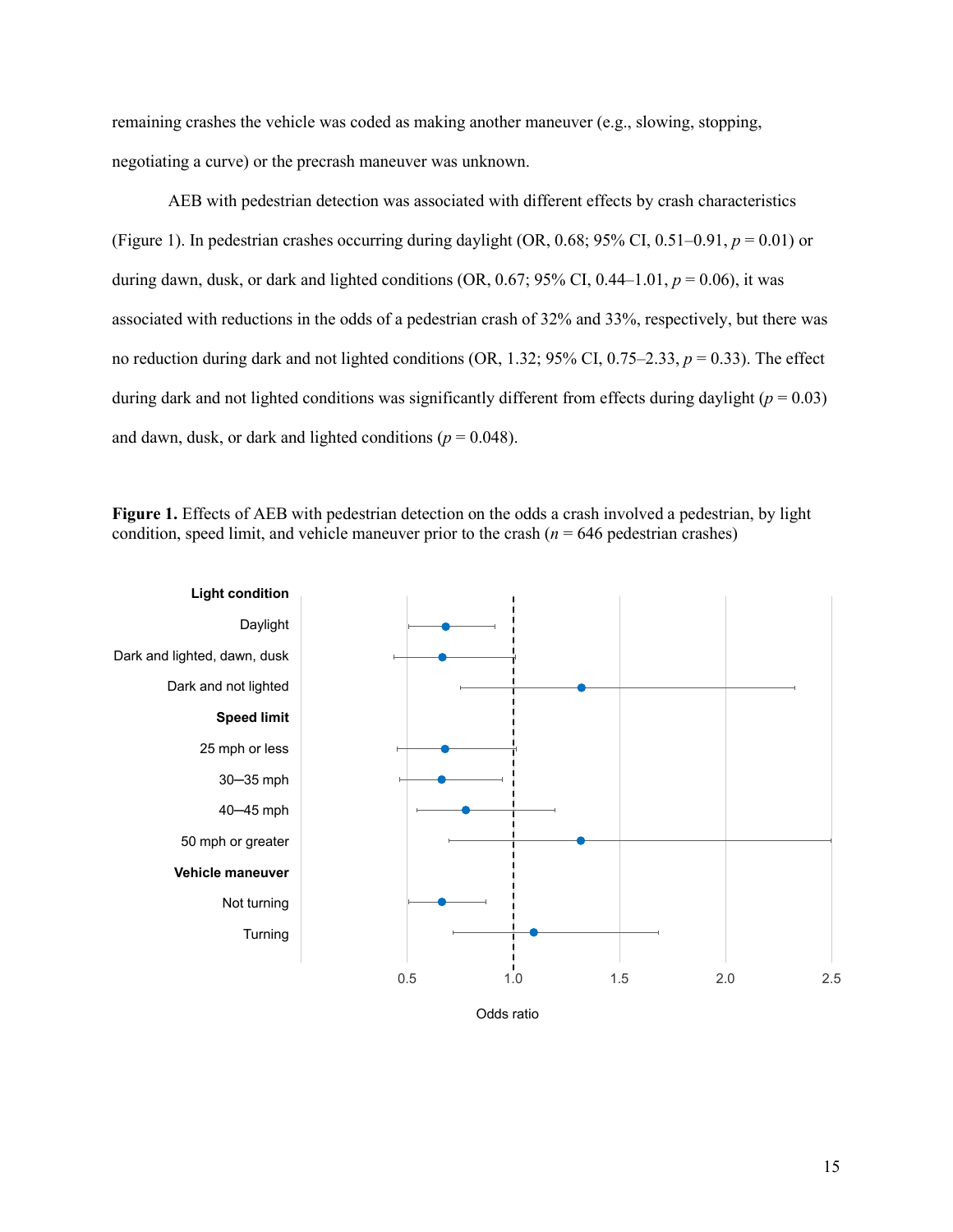remaining crashes the vehicle was coded as making another maneuver (e.g., slowing, stopping, negotiating a curve) or the precrash maneuver was unknown.

AEB with pedestrian detection was associated with different effects by crash characteristics (Figure 1). In pedestrian crashes occurring during daylight (OR,  $0.68$ ;  $95\%$  CI,  $0.51-0.91$ ,  $p = 0.01$ ) or during dawn, dusk, or dark and lighted conditions (OR, 0.67; 95% CI, 0.44–1.01,  $p = 0.06$ ), it was associated with reductions in the odds of a pedestrian crash of 32% and 33%, respectively, but there was no reduction during dark and not lighted conditions (OR, 1.32; 95% CI, 0.75–2.33,  $p = 0.33$ ). The effect during dark and not lighted conditions was significantly different from effects during daylight  $(p = 0.03)$ and dawn, dusk, or dark and lighted conditions ( $p = 0.048$ ).

**Figure 1.** Effects of AEB with pedestrian detection on the odds a crash involved a pedestrian, by light condition, speed limit, and vehicle maneuver prior to the crash  $(n = 646$  pedestrian crashes)

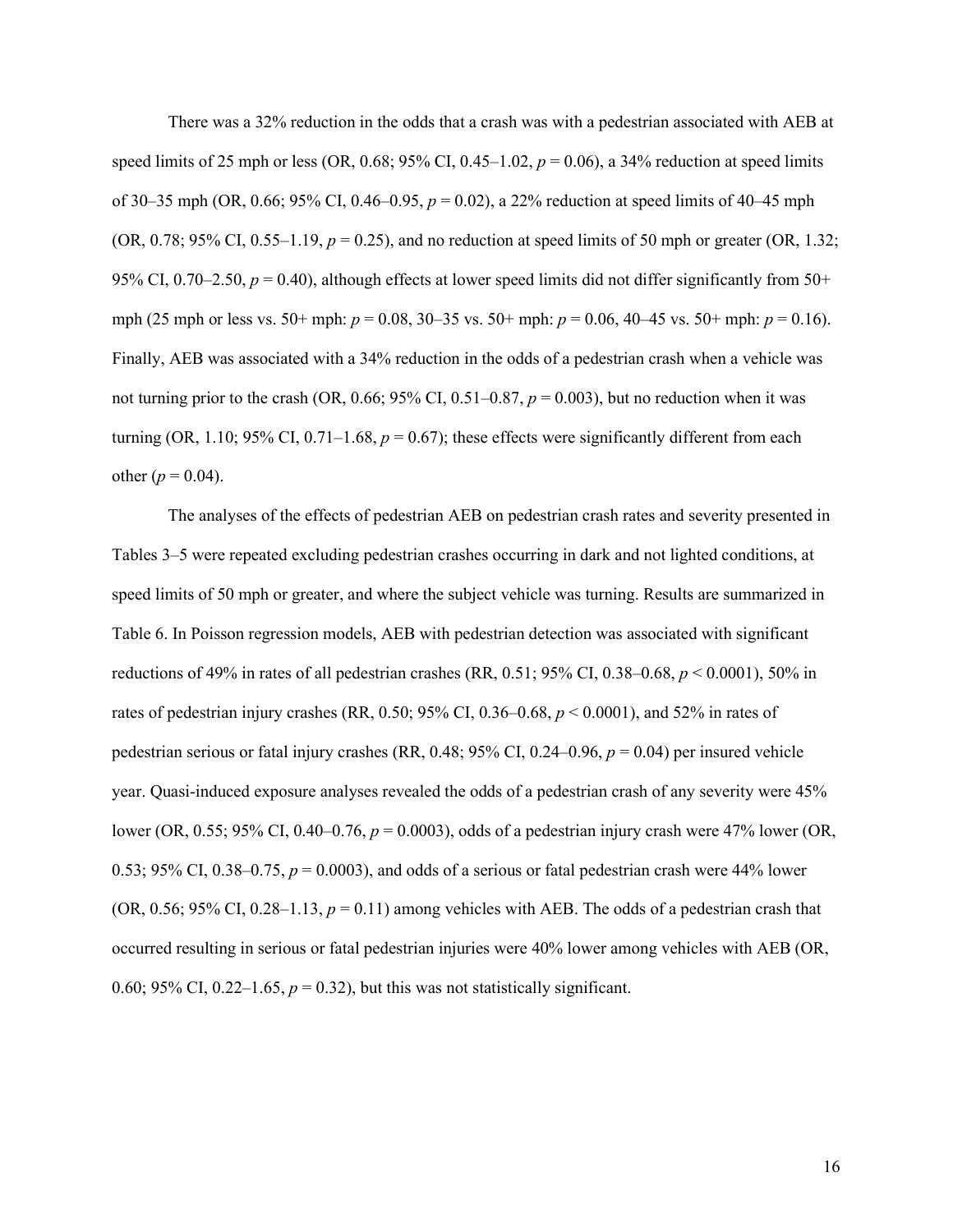There was a 32% reduction in the odds that a crash was with a pedestrian associated with AEB at speed limits of 25 mph or less (OR, 0.68; 95% CI, 0.45–1.02,  $p = 0.06$ ), a 34% reduction at speed limits of 30–35 mph (OR, 0.66; 95% CI, 0.46–0.95, *p* = 0.02), a 22% reduction at speed limits of 40–45 mph (OR, 0.78; 95% CI, 0.55–1.19,  $p = 0.25$ ), and no reduction at speed limits of 50 mph or greater (OR, 1.32; 95% CI, 0.70–2.50,  $p = 0.40$ ), although effects at lower speed limits did not differ significantly from 50+ mph (25 mph or less vs. 50+ mph: *p* = 0.08, 30–35 vs. 50+ mph: *p* = 0.06, 40–45 vs. 50+ mph: *p* = 0.16). Finally, AEB was associated with a 34% reduction in the odds of a pedestrian crash when a vehicle was not turning prior to the crash (OR, 0.66; 95% CI, 0.51–0.87,  $p = 0.003$ ), but no reduction when it was turning (OR, 1.10; 95% CI, 0.71–1.68,  $p = 0.67$ ); these effects were significantly different from each other ( $p = 0.04$ ).

The analyses of the effects of pedestrian AEB on pedestrian crash rates and severity presented in Tables 3–5 were repeated excluding pedestrian crashes occurring in dark and not lighted conditions, at speed limits of 50 mph or greater, and where the subject vehicle was turning. Results are summarized in Table 6. In Poisson regression models, AEB with pedestrian detection was associated with significant reductions of 49% in rates of all pedestrian crashes (RR, 0.51; 95% CI, 0.38–0.68, *p* < 0.0001), 50% in rates of pedestrian injury crashes (RR, 0.50; 95% CI, 0.36–0.68, *p* < 0.0001), and 52% in rates of pedestrian serious or fatal injury crashes (RR, 0.48; 95% CI, 0.24–0.96, *p* = 0.04) per insured vehicle year. Quasi-induced exposure analyses revealed the odds of a pedestrian crash of any severity were 45% lower (OR, 0.55; 95% CI, 0.40–0.76, *p* = 0.0003), odds of a pedestrian injury crash were 47% lower (OR, 0.53; 95% CI, 0.38–0.75,  $p = 0.0003$ ), and odds of a serious or fatal pedestrian crash were 44% lower (OR, 0.56; 95% CI, 0.28–1.13,  $p = 0.11$ ) among vehicles with AEB. The odds of a pedestrian crash that occurred resulting in serious or fatal pedestrian injuries were 40% lower among vehicles with AEB (OR, 0.60; 95% CI, 0.22–1.65,  $p = 0.32$ ), but this was not statistically significant.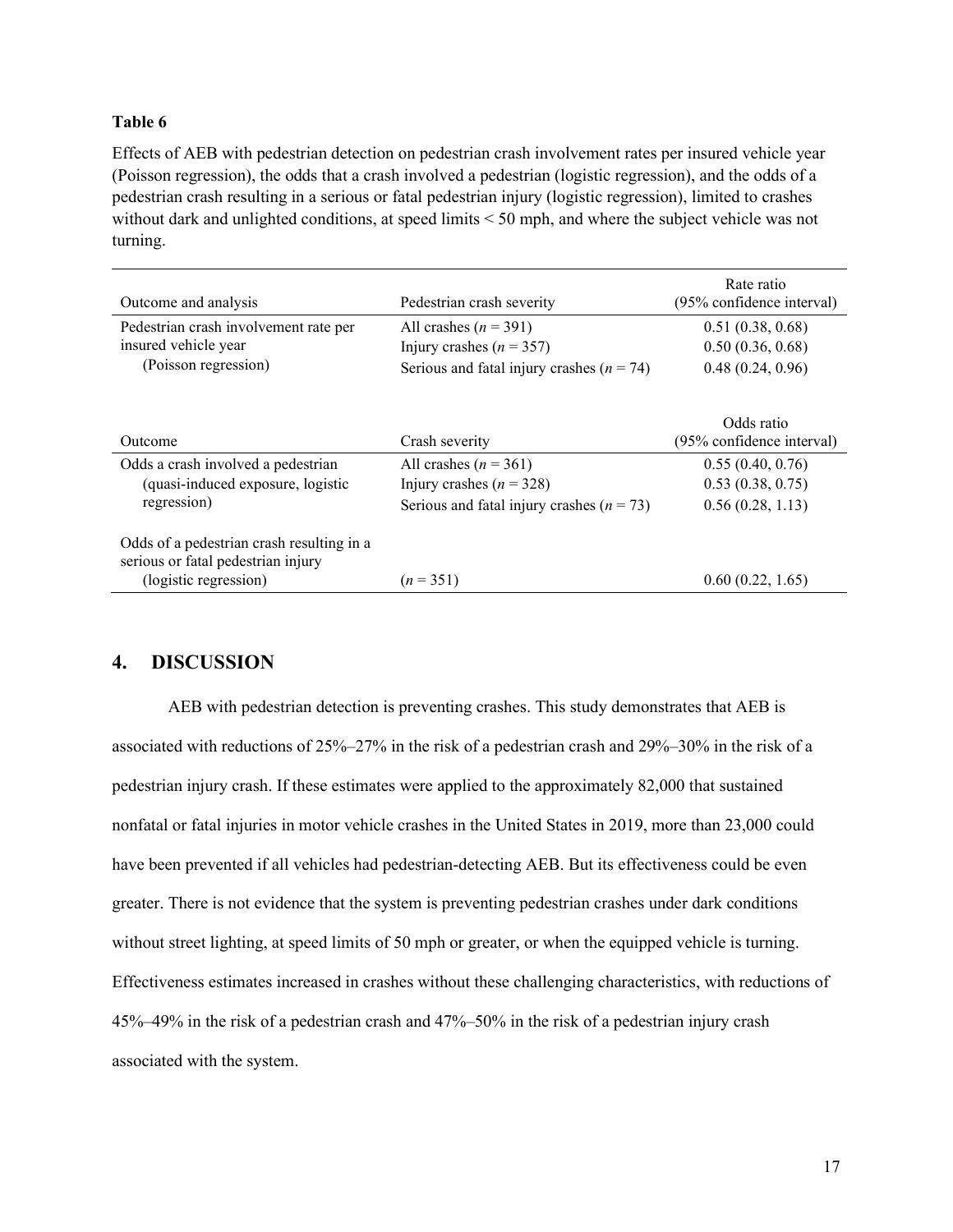#### **Table 6**

Effects of AEB with pedestrian detection on pedestrian crash involvement rates per insured vehicle year (Poisson regression), the odds that a crash involved a pedestrian (logistic regression), and the odds of a pedestrian crash resulting in a serious or fatal pedestrian injury (logistic regression), limited to crashes without dark and unlighted conditions, at speed limits < 50 mph, and where the subject vehicle was not turning.

| Outcome and analysis                                                            | Pedestrian crash severity                     | Rate ratio<br>(95% confidence interval) |
|---------------------------------------------------------------------------------|-----------------------------------------------|-----------------------------------------|
| Pedestrian crash involvement rate per                                           | All crashes $(n = 391)$                       | 0.51(0.38, 0.68)                        |
| insured vehicle year                                                            | Injury crashes $(n = 357)$                    | 0.50(0.36, 0.68)                        |
| (Poisson regression)                                                            | Serious and fatal injury crashes $(n = 74)$   | 0.48(0.24, 0.96)                        |
| Outcome                                                                         | Crash severity                                | Odds ratio<br>(95% confidence interval) |
| Odds a crash involved a pedestrian                                              | All crashes $(n = 361)$                       | 0.55(0.40, 0.76)                        |
| (quasi-induced exposure, logistic                                               | Injury crashes $(n = 328)$                    | 0.53(0.38, 0.75)                        |
| regression)                                                                     | Serious and fatal injury crashes ( $n = 73$ ) | 0.56(0.28, 1.13)                        |
| Odds of a pedestrian crash resulting in a<br>serious or fatal pedestrian injury |                                               |                                         |
| (logistic regression)                                                           | $(n=351)$                                     | 0.60(0.22, 1.65)                        |

#### <span id="page-20-0"></span>**4. DISCUSSION**

AEB with pedestrian detection is preventing crashes. This study demonstrates that AEB is associated with reductions of 25%–27% in the risk of a pedestrian crash and 29%–30% in the risk of a pedestrian injury crash. If these estimates were applied to the approximately 82,000 that sustained nonfatal or fatal injuries in motor vehicle crashes in the United States in 2019, more than 23,000 could have been prevented if all vehicles had pedestrian-detecting AEB. But its effectiveness could be even greater. There is not evidence that the system is preventing pedestrian crashes under dark conditions without street lighting, at speed limits of 50 mph or greater, or when the equipped vehicle is turning. Effectiveness estimates increased in crashes without these challenging characteristics, with reductions of 45%–49% in the risk of a pedestrian crash and 47%–50% in the risk of a pedestrian injury crash associated with the system.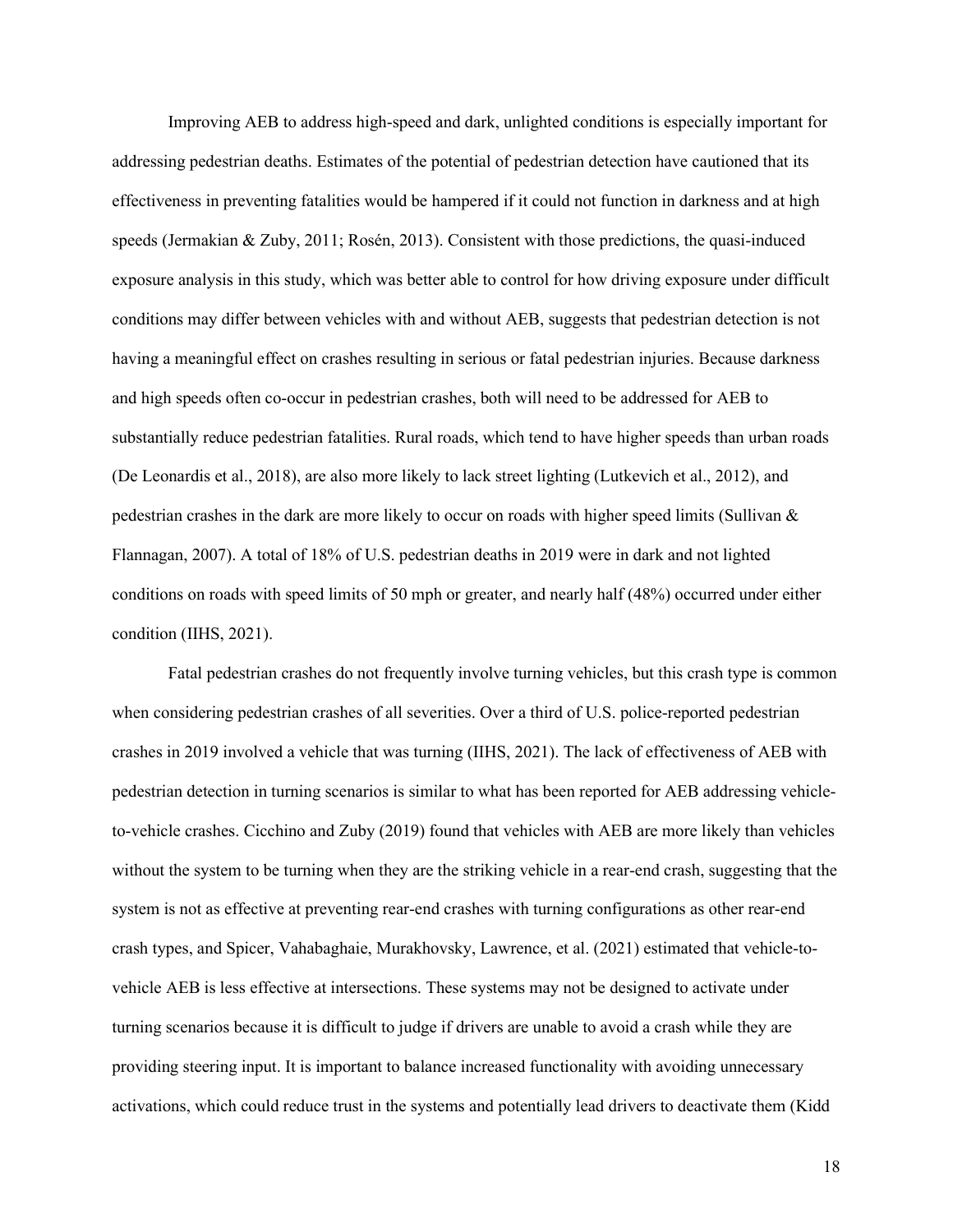Improving AEB to address high-speed and dark, unlighted conditions is especially important for addressing pedestrian deaths. Estimates of the potential of pedestrian detection have cautioned that its effectiveness in preventing fatalities would be hampered if it could not function in darkness and at high speeds (Jermakian & Zuby, 2011; Rosén, 2013). Consistent with those predictions, the quasi-induced exposure analysis in this study, which was better able to control for how driving exposure under difficult conditions may differ between vehicles with and without AEB, suggests that pedestrian detection is not having a meaningful effect on crashes resulting in serious or fatal pedestrian injuries. Because darkness and high speeds often co-occur in pedestrian crashes, both will need to be addressed for AEB to substantially reduce pedestrian fatalities. Rural roads, which tend to have higher speeds than urban roads (De Leonardis et al., 2018), are also more likely to lack street lighting (Lutkevich et al., 2012), and pedestrian crashes in the dark are more likely to occur on roads with higher speed limits (Sullivan & Flannagan, 2007). A total of 18% of U.S. pedestrian deaths in 2019 were in dark and not lighted conditions on roads with speed limits of 50 mph or greater, and nearly half (48%) occurred under either condition (IIHS, 2021).

Fatal pedestrian crashes do not frequently involve turning vehicles, but this crash type is common when considering pedestrian crashes of all severities. Over a third of U.S. police-reported pedestrian crashes in 2019 involved a vehicle that was turning (IIHS, 2021). The lack of effectiveness of AEB with pedestrian detection in turning scenarios is similar to what has been reported for AEB addressing vehicleto-vehicle crashes. Cicchino and Zuby (2019) found that vehicles with AEB are more likely than vehicles without the system to be turning when they are the striking vehicle in a rear-end crash, suggesting that the system is not as effective at preventing rear-end crashes with turning configurations as other rear-end crash types, and Spicer, Vahabaghaie, Murakhovsky, Lawrence, et al. (2021) estimated that vehicle-tovehicle AEB is less effective at intersections. These systems may not be designed to activate under turning scenarios because it is difficult to judge if drivers are unable to avoid a crash while they are providing steering input. It is important to balance increased functionality with avoiding unnecessary activations, which could reduce trust in the systems and potentially lead drivers to deactivate them (Kidd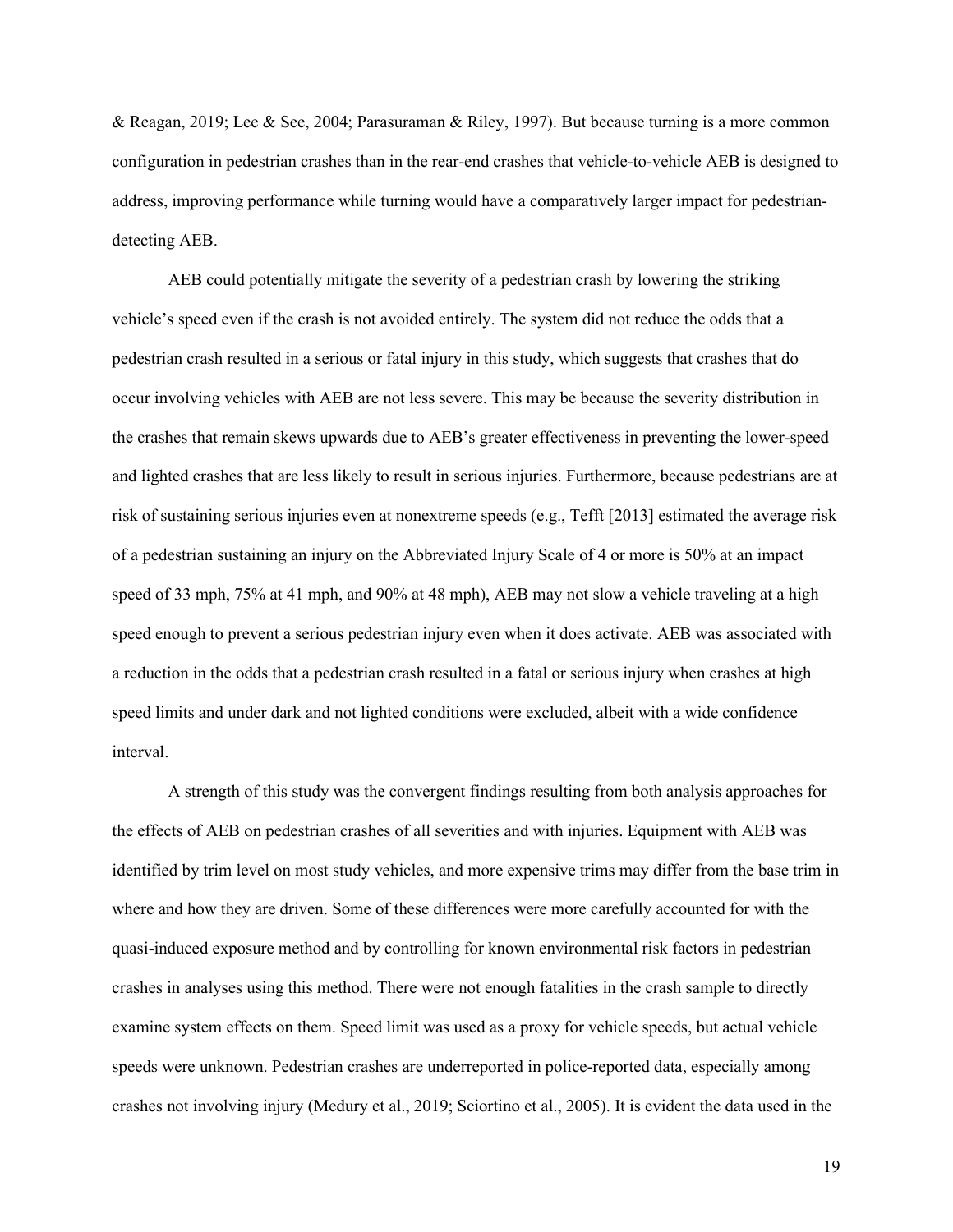& Reagan, 2019; Lee & See, 2004; Parasuraman & Riley, 1997). But because turning is a more common configuration in pedestrian crashes than in the rear-end crashes that vehicle-to-vehicle AEB is designed to address, improving performance while turning would have a comparatively larger impact for pedestriandetecting AEB.

AEB could potentially mitigate the severity of a pedestrian crash by lowering the striking vehicle's speed even if the crash is not avoided entirely. The system did not reduce the odds that a pedestrian crash resulted in a serious or fatal injury in this study, which suggests that crashes that do occur involving vehicles with AEB are not less severe. This may be because the severity distribution in the crashes that remain skews upwards due to AEB's greater effectiveness in preventing the lower-speed and lighted crashes that are less likely to result in serious injuries. Furthermore, because pedestrians are at risk of sustaining serious injuries even at nonextreme speeds (e.g., Tefft [2013] estimated the average risk of a pedestrian sustaining an injury on the Abbreviated Injury Scale of 4 or more is 50% at an impact speed of 33 mph, 75% at 41 mph, and 90% at 48 mph), AEB may not slow a vehicle traveling at a high speed enough to prevent a serious pedestrian injury even when it does activate. AEB was associated with a reduction in the odds that a pedestrian crash resulted in a fatal or serious injury when crashes at high speed limits and under dark and not lighted conditions were excluded, albeit with a wide confidence interval.

A strength of this study was the convergent findings resulting from both analysis approaches for the effects of AEB on pedestrian crashes of all severities and with injuries. Equipment with AEB was identified by trim level on most study vehicles, and more expensive trims may differ from the base trim in where and how they are driven. Some of these differences were more carefully accounted for with the quasi-induced exposure method and by controlling for known environmental risk factors in pedestrian crashes in analyses using this method. There were not enough fatalities in the crash sample to directly examine system effects on them. Speed limit was used as a proxy for vehicle speeds, but actual vehicle speeds were unknown. Pedestrian crashes are underreported in police-reported data, especially among crashes not involving injury (Medury et al., 2019; Sciortino et al., 2005). It is evident the data used in the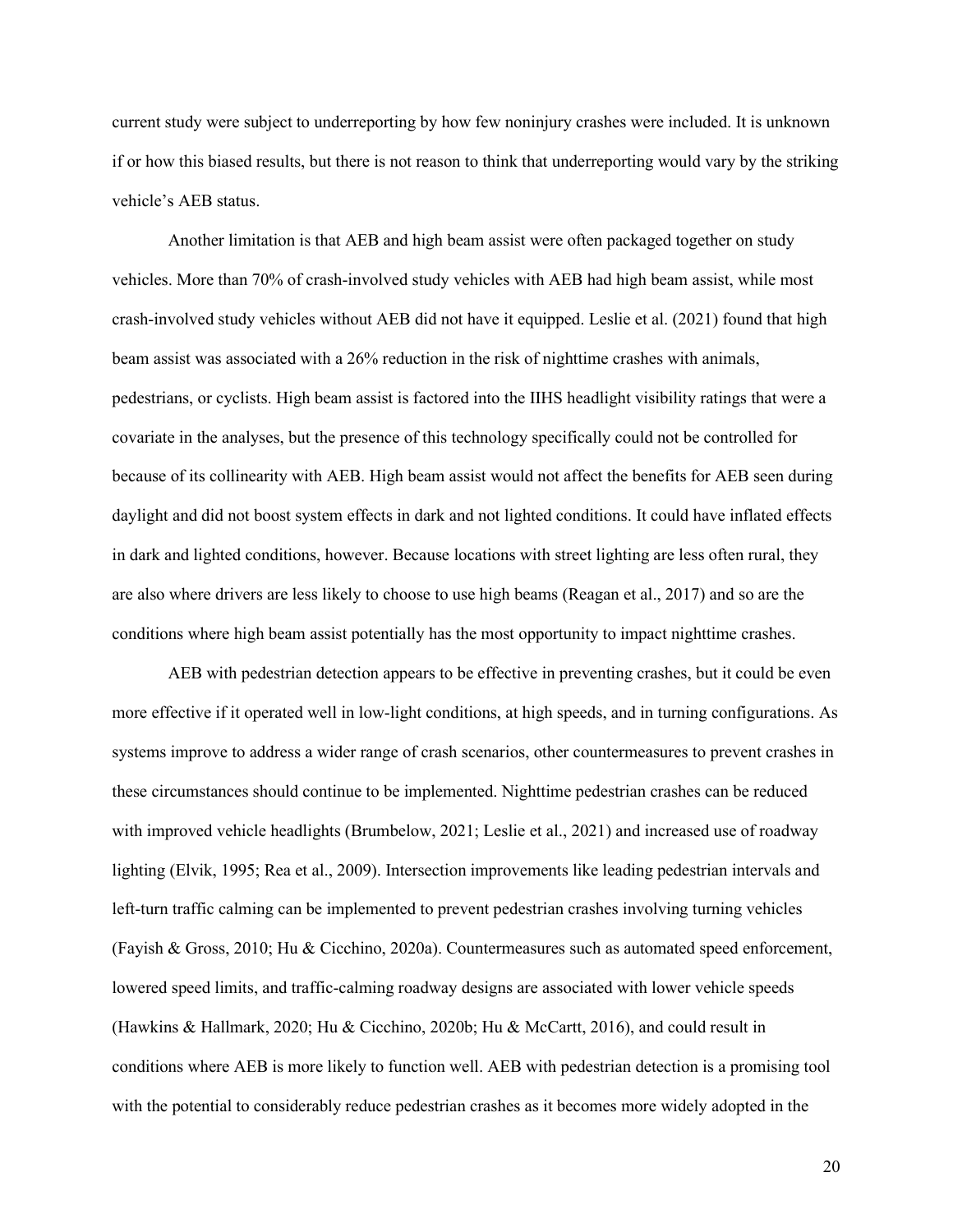current study were subject to underreporting by how few noninjury crashes were included. It is unknown if or how this biased results, but there is not reason to think that underreporting would vary by the striking vehicle's AEB status.

Another limitation is that AEB and high beam assist were often packaged together on study vehicles. More than 70% of crash-involved study vehicles with AEB had high beam assist, while most crash-involved study vehicles without AEB did not have it equipped. Leslie et al. (2021) found that high beam assist was associated with a 26% reduction in the risk of nighttime crashes with animals, pedestrians, or cyclists. High beam assist is factored into the IIHS headlight visibility ratings that were a covariate in the analyses, but the presence of this technology specifically could not be controlled for because of its collinearity with AEB. High beam assist would not affect the benefits for AEB seen during daylight and did not boost system effects in dark and not lighted conditions. It could have inflated effects in dark and lighted conditions, however. Because locations with street lighting are less often rural, they are also where drivers are less likely to choose to use high beams (Reagan et al., 2017) and so are the conditions where high beam assist potentially has the most opportunity to impact nighttime crashes.

AEB with pedestrian detection appears to be effective in preventing crashes, but it could be even more effective if it operated well in low-light conditions, at high speeds, and in turning configurations. As systems improve to address a wider range of crash scenarios, other countermeasures to prevent crashes in these circumstances should continue to be implemented. Nighttime pedestrian crashes can be reduced with improved vehicle headlights (Brumbelow, 2021; Leslie et al., 2021) and increased use of roadway lighting (Elvik, 1995; Rea et al., 2009). Intersection improvements like leading pedestrian intervals and left-turn traffic calming can be implemented to prevent pedestrian crashes involving turning vehicles (Fayish & Gross, 2010; Hu & Cicchino, 2020a). Countermeasures such as automated speed enforcement, lowered speed limits, and traffic-calming roadway designs are associated with lower vehicle speeds (Hawkins & Hallmark, 2020; Hu & Cicchino, 2020b; Hu & McCartt, 2016), and could result in conditions where AEB is more likely to function well. AEB with pedestrian detection is a promising tool with the potential to considerably reduce pedestrian crashes as it becomes more widely adopted in the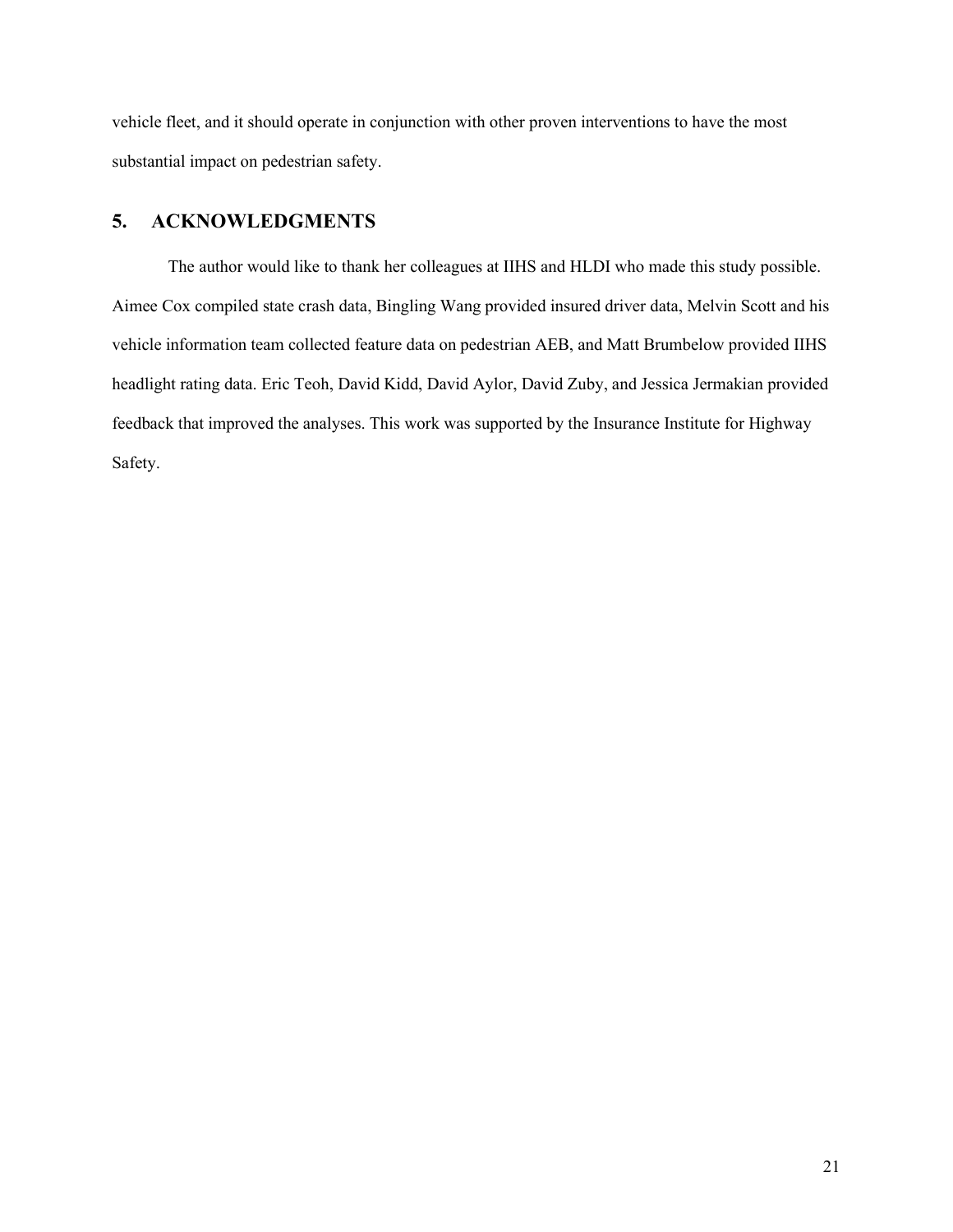vehicle fleet, and it should operate in conjunction with other proven interventions to have the most substantial impact on pedestrian safety.

### <span id="page-24-0"></span>**5. ACKNOWLEDGMENTS**

The author would like to thank her colleagues at IIHS and HLDI who made this study possible. Aimee Cox compiled state crash data, Bingling Wang provided insured driver data, Melvin Scott and his vehicle information team collected feature data on pedestrian AEB, and Matt Brumbelow provided IIHS headlight rating data. Eric Teoh, David Kidd, David Aylor, David Zuby, and Jessica Jermakian provided feedback that improved the analyses. This work was supported by the Insurance Institute for Highway Safety.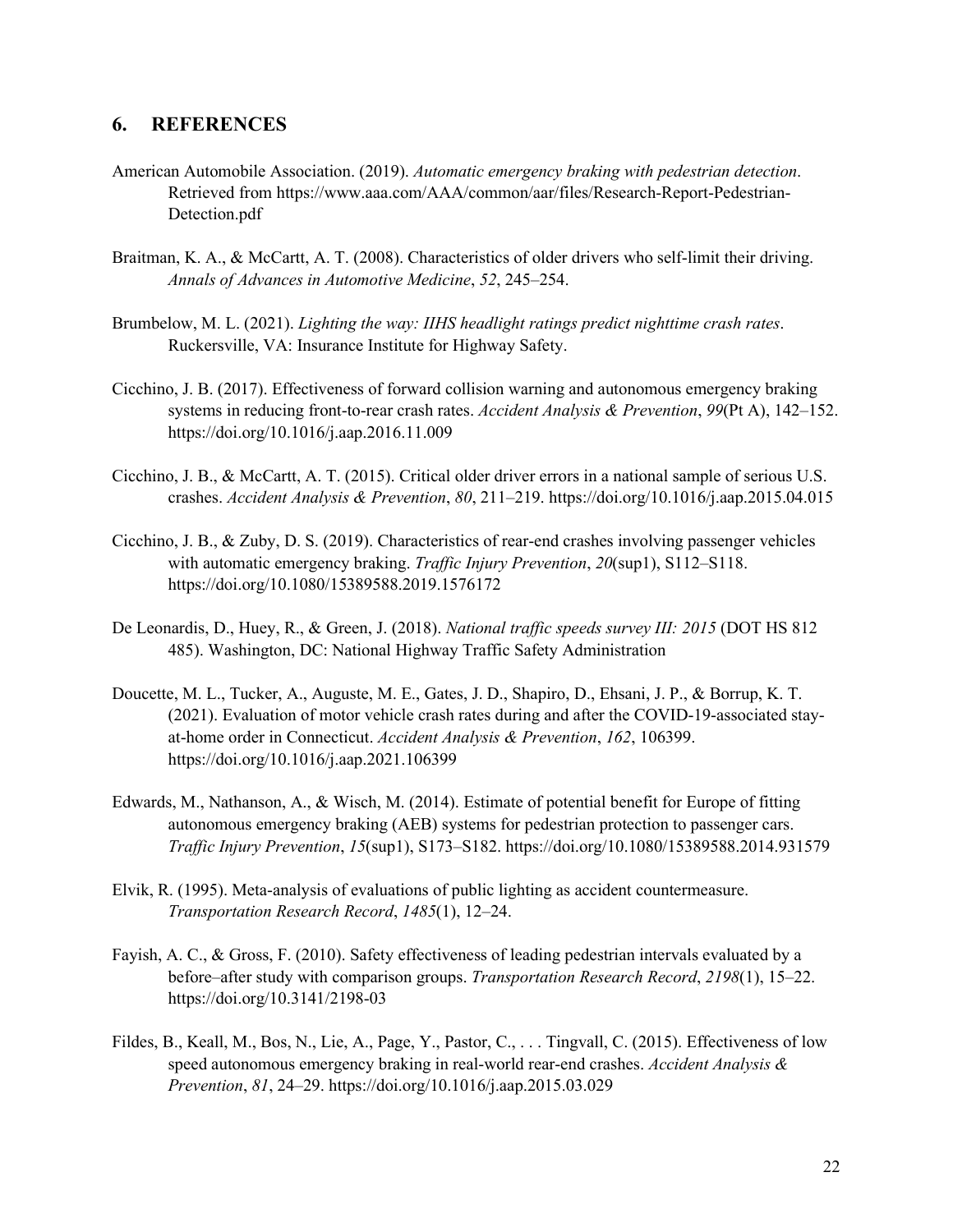#### **6. REFERENCES**

- American Automobile Association. (2019). *Automatic emergency braking with pedestrian detection*. Retrieved from [https://www.aaa.com/AAA/common/aar/files/Research-Report-Pedestrian-](https://www.aaa.com/AAA/common/aar/files/Research-Report-Pedestrian-Detection.pdf)[Detection.pdf](https://www.aaa.com/AAA/common/aar/files/Research-Report-Pedestrian-Detection.pdf)
- Braitman, K. A., & McCartt, A. T. (2008). Characteristics of older drivers who self-limit their driving. *Annals of Advances in Automotive Medicine*, *52*, 245–254.
- Brumbelow, M. L. (2021). *Lighting the way: IIHS headlight ratings predict nighttime crash rates*. Ruckersville, VA: Insurance Institute for Highway Safety.
- Cicchino, J. B. (2017). Effectiveness of forward collision warning and autonomous emergency braking systems in reducing front-to-rear crash rates. *Accident Analysis & Prevention*, *99*(Pt A), 142–152. <https://doi.org/10.1016/j.aap.2016.11.009>
- Cicchino, J. B., & McCartt, A. T. (2015). Critical older driver errors in a national sample of serious U.S. crashes. *Accident Analysis & Prevention*, *80*, 211–219[. https://doi.org/10.1016/j.aap.2015.04.015](https://doi.org/10.1016/j.aap.2015.04.015)
- Cicchino, J. B., & Zuby, D. S. (2019). Characteristics of rear-end crashes involving passenger vehicles with automatic emergency braking. *Traffic Injury Prevention*, *20*(sup1), S112–S118. <https://doi.org/10.1080/15389588.2019.1576172>
- De Leonardis, D., Huey, R., & Green, J. (2018). *National traffic speeds survey III: 2015* (DOT HS 812 485). Washington, DC: National Highway Traffic Safety Administration
- Doucette, M. L., Tucker, A., Auguste, M. E., Gates, J. D., Shapiro, D., Ehsani, J. P., & Borrup, K. T. (2021). Evaluation of motor vehicle crash rates during and after the COVID-19-associated stayat-home order in Connecticut. *Accident Analysis & Prevention*, *162*, 106399. <https://doi.org/10.1016/j.aap.2021.106399>
- Edwards, M., Nathanson, A., & Wisch, M. (2014). Estimate of potential benefit for Europe of fitting autonomous emergency braking (AEB) systems for pedestrian protection to passenger cars. *Traffic Injury Prevention*, *15*(sup1), S173–S182.<https://doi.org/10.1080/15389588.2014.931579>
- Elvik, R. (1995). Meta-analysis of evaluations of public lighting as accident countermeasure. *Transportation Research Record*, *1485*(1), 12–24.
- Fayish, A. C., & Gross, F. (2010). Safety effectiveness of leading pedestrian intervals evaluated by a before–after study with comparison groups. *Transportation Research Record*, *2198*(1), 15–22. <https://doi.org/10.3141/2198-03>
- Fildes, B., Keall, M., Bos, N., Lie, A., Page, Y., Pastor, C., . . . Tingvall, C. (2015). Effectiveness of low speed autonomous emergency braking in real-world rear-end crashes. *Accident Analysis & Prevention*, *81*, 24–29.<https://doi.org/10.1016/j.aap.2015.03.029>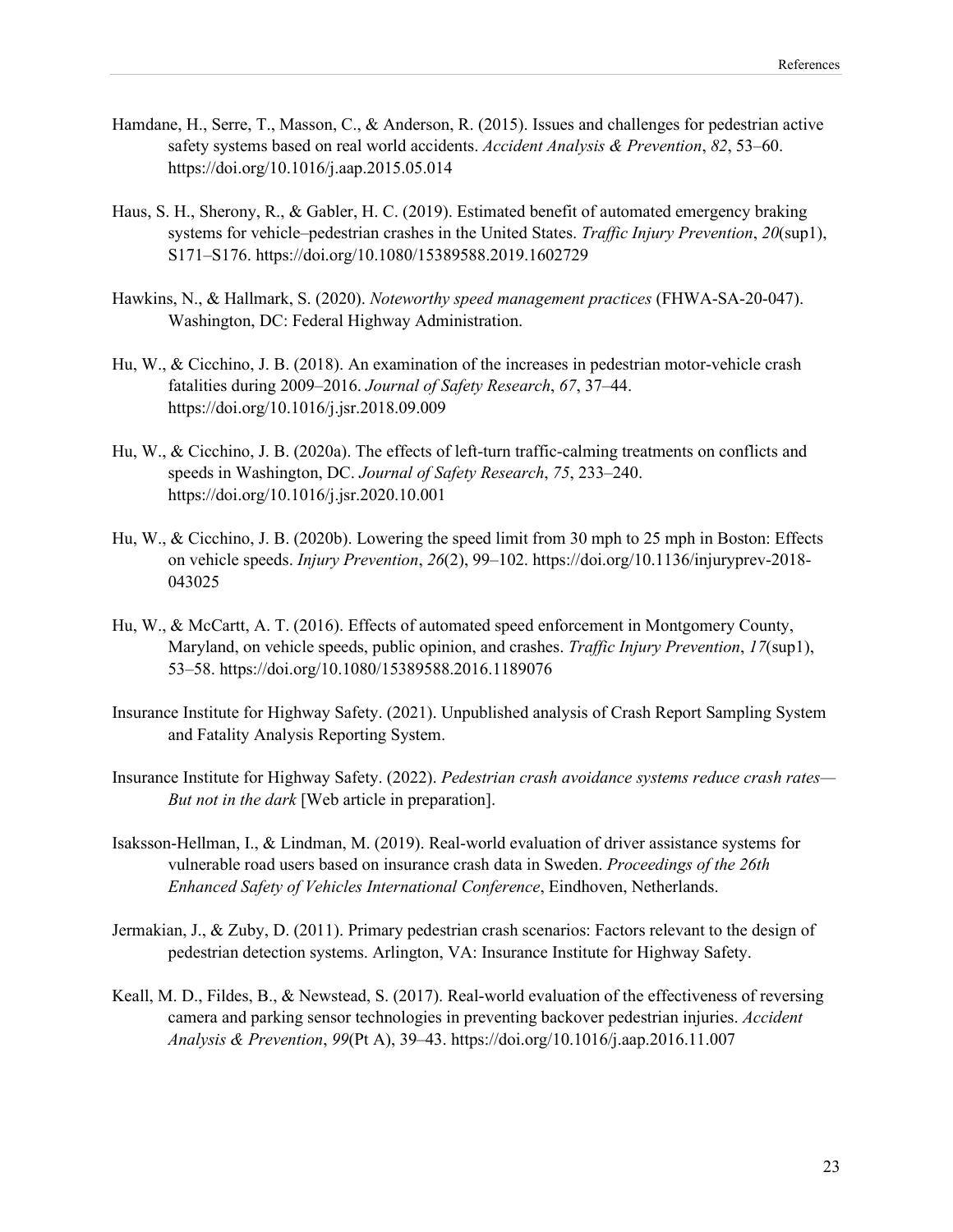- Hamdane, H., Serre, T., Masson, C., & Anderson, R. (2015). Issues and challenges for pedestrian active safety systems based on real world accidents. *Accident Analysis & Prevention*, *82*, 53–60. <https://doi.org/10.1016/j.aap.2015.05.014>
- Haus, S. H., Sherony, R., & Gabler, H. C. (2019). Estimated benefit of automated emergency braking systems for vehicle–pedestrian crashes in the United States. *Traffic Injury Prevention*, *20*(sup1), S171–S176.<https://doi.org/10.1080/15389588.2019.1602729>
- Hawkins, N., & Hallmark, S. (2020). *Noteworthy speed management practices* (FHWA-SA-20-047). Washington, DC: Federal Highway Administration.
- Hu, W., & Cicchino, J. B. (2018). An examination of the increases in pedestrian motor-vehicle crash fatalities during 2009–2016. *Journal of Safety Research*, *67*, 37–44. <https://doi.org/10.1016/j.jsr.2018.09.009>
- Hu, W., & Cicchino, J. B. (2020a). The effects of left-turn traffic-calming treatments on conflicts and speeds in Washington, DC. *Journal of Safety Research*, *75*, 233–240. <https://doi.org/10.1016/j.jsr.2020.10.001>
- Hu, W., & Cicchino, J. B. (2020b). Lowering the speed limit from 30 mph to 25 mph in Boston: Effects on vehicle speeds. *Injury Prevention*, *26*(2), 99–102. [https://doi.org/10.1136/injuryprev-2018-](https://doi.org/10.1136/injuryprev-2018-043025) [043025](https://doi.org/10.1136/injuryprev-2018-043025)
- Hu, W., & McCartt, A. T. (2016). Effects of automated speed enforcement in Montgomery County, Maryland, on vehicle speeds, public opinion, and crashes. *Traffic Injury Prevention*, *17*(sup1), 53–58.<https://doi.org/10.1080/15389588.2016.1189076>
- Insurance Institute for Highway Safety. (2021). Unpublished analysis of Crash Report Sampling System and Fatality Analysis Reporting System.
- Insurance Institute for Highway Safety. (2022). *Pedestrian crash avoidance systems reduce crash rates— But not in the dark* [Web article in preparation].
- Isaksson-Hellman, I., & Lindman, M. (2019). Real-world evaluation of driver assistance systems for vulnerable road users based on insurance crash data in Sweden. *Proceedings of the 26th Enhanced Safety of Vehicles International Conference*, Eindhoven, Netherlands.
- Jermakian, J., & Zuby, D. (2011). Primary pedestrian crash scenarios: Factors relevant to the design of pedestrian detection systems. Arlington, VA: Insurance Institute for Highway Safety.
- Keall, M. D., Fildes, B., & Newstead, S. (2017). Real-world evaluation of the effectiveness of reversing camera and parking sensor technologies in preventing backover pedestrian injuries. *Accident Analysis & Prevention*, *99*(Pt A), 39–43.<https://doi.org/10.1016/j.aap.2016.11.007>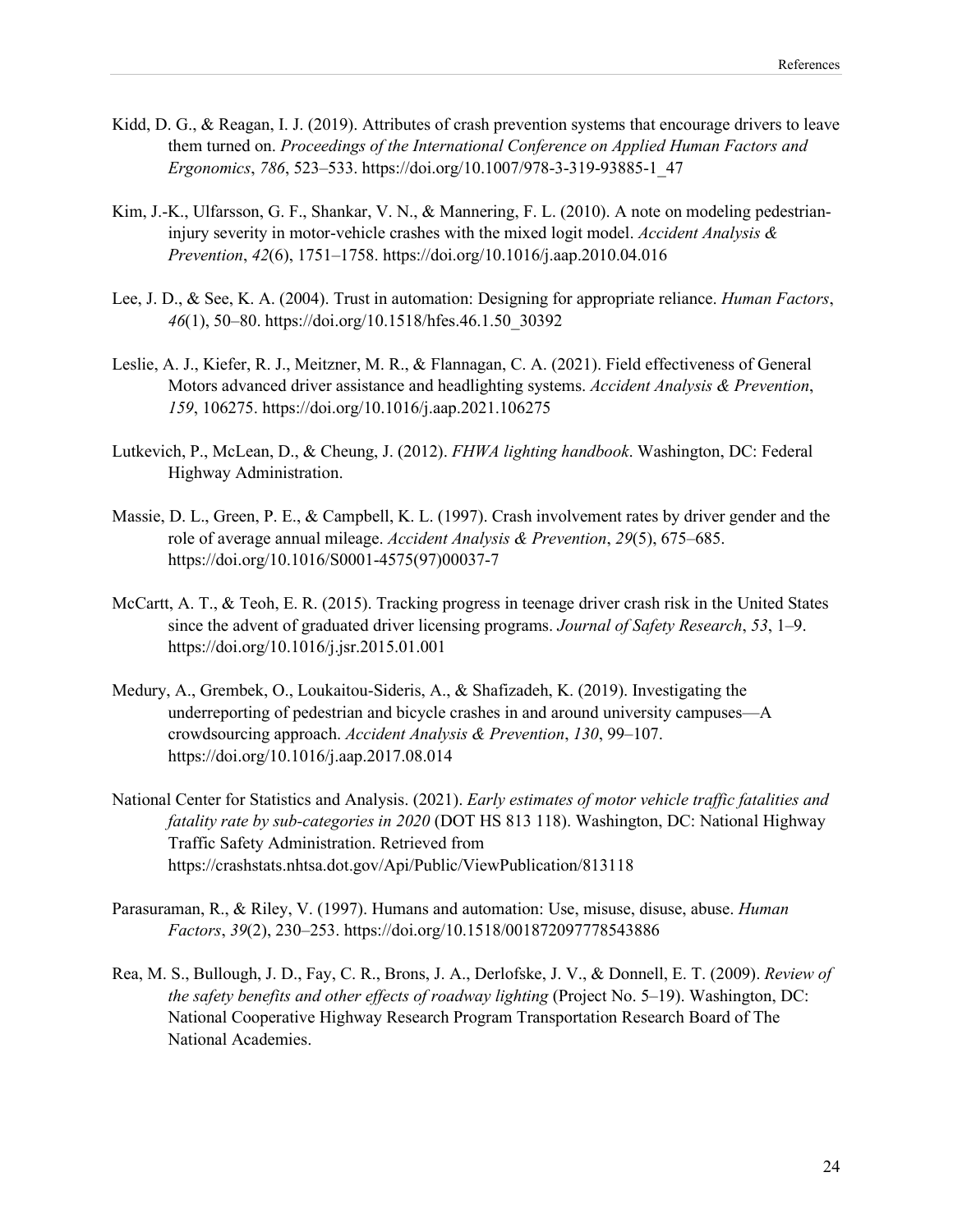- Kidd, D. G., & Reagan, I. J. (2019). Attributes of crash prevention systems that encourage drivers to leave them turned on. *Proceedings of the International Conference on Applied Human Factors and Ergonomics*, *786*, 523–533[. https://doi.org/10.1007/978-3-319-93885-1\\_47](https://doi.org/10.1007/978-3-319-93885-1_47)
- Kim, J.-K., Ulfarsson, G. F., Shankar, V. N., & Mannering, F. L. (2010). A note on modeling pedestrianinjury severity in motor-vehicle crashes with the mixed logit model. *Accident Analysis & Prevention*, *42*(6), 1751–1758.<https://doi.org/10.1016/j.aap.2010.04.016>
- Lee, J. D., & See, K. A. (2004). Trust in automation: Designing for appropriate reliance. *Human Factors*, *46*(1), 50–80. [https://doi.org/10.1518/hfes.46.1.50\\_30392](https://doi.org/10.1518/hfes.46.1.50_30392)
- Leslie, A. J., Kiefer, R. J., Meitzner, M. R., & Flannagan, C. A. (2021). Field effectiveness of General Motors advanced driver assistance and headlighting systems. *Accident Analysis & Prevention*, *159*, 106275.<https://doi.org/10.1016/j.aap.2021.106275>
- Lutkevich, P., McLean, D., & Cheung, J. (2012). *FHWA lighting handbook*. Washington, DC: Federal Highway Administration.
- Massie, D. L., Green, P. E., & Campbell, K. L. (1997). Crash involvement rates by driver gender and the role of average annual mileage. *Accident Analysis & Prevention*, *29*(5), 675–685. [https://doi.org/10.1016/S0001-4575\(97\)00037-7](https://doi.org/10.1016/S0001-4575(97)00037-7)
- McCartt, A. T., & Teoh, E. R. (2015). Tracking progress in teenage driver crash risk in the United States since the advent of graduated driver licensing programs. *Journal of Safety Research*, *53*, 1–9. <https://doi.org/10.1016/j.jsr.2015.01.001>
- Medury, A., Grembek, O., Loukaitou-Sideris, A., & Shafizadeh, K. (2019). Investigating the underreporting of pedestrian and bicycle crashes in and around university campuses—A crowdsourcing approach. *Accident Analysis & Prevention*, *130*, 99–107. <https://doi.org/10.1016/j.aap.2017.08.014>
- National Center for Statistics and Analysis. (2021). *Early estimates of motor vehicle traffic fatalities and fatality rate by sub-categories in 2020* (DOT HS 813 118). Washington, DC: National Highway Traffic Safety Administration. Retrieved from <https://crashstats.nhtsa.dot.gov/Api/Public/ViewPublication/813118>
- Parasuraman, R., & Riley, V. (1997). Humans and automation: Use, misuse, disuse, abuse. *Human Factors*, *39*(2), 230–253.<https://doi.org/10.1518/001872097778543886>
- Rea, M. S., Bullough, J. D., Fay, C. R., Brons, J. A., Derlofske, J. V., & Donnell, E. T. (2009). *Review of the safety benefits and other effects of roadway lighting* (Project No. 5–19). Washington, DC: National Cooperative Highway Research Program Transportation Research Board of The National Academies.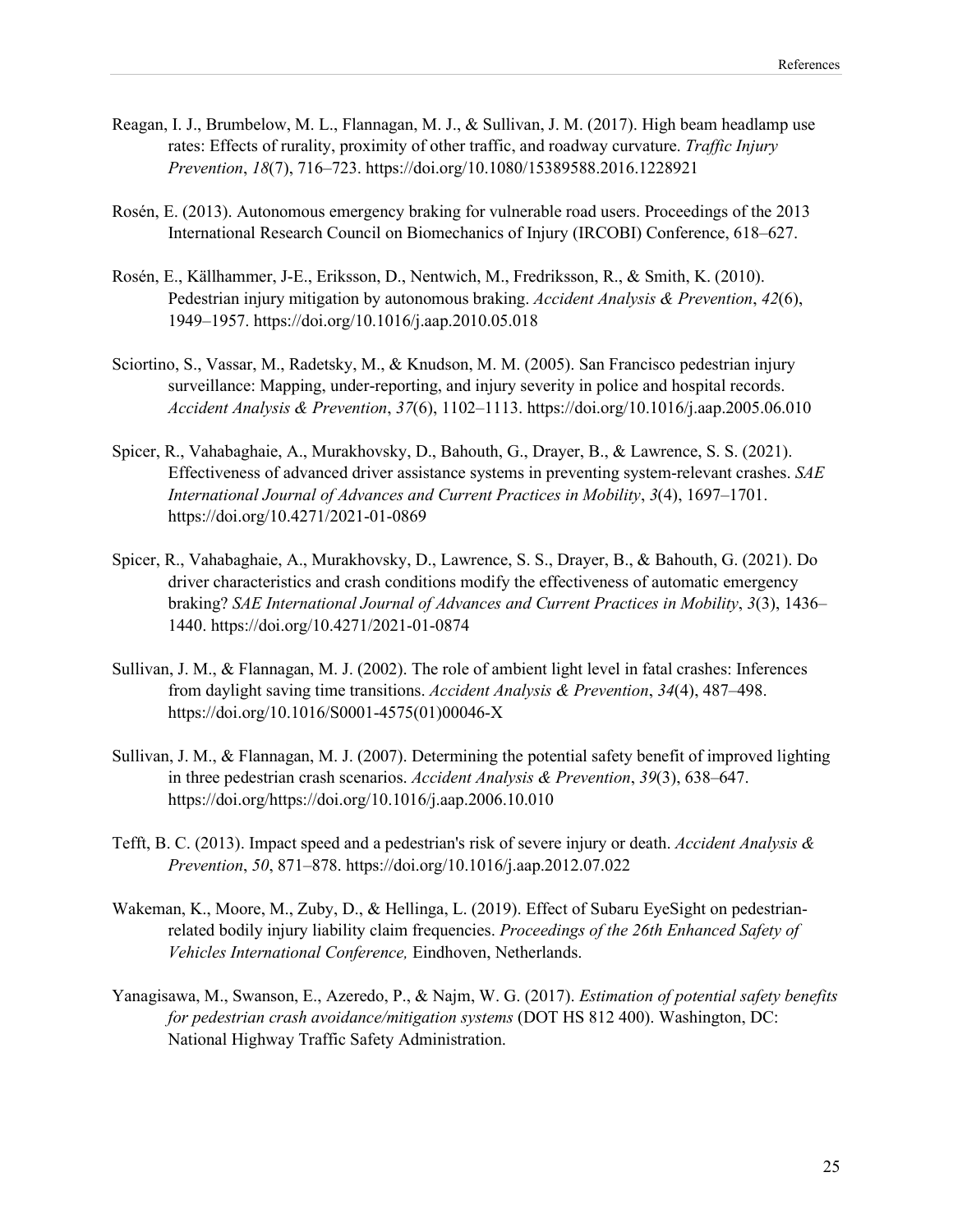- Reagan, I. J., Brumbelow, M. L., Flannagan, M. J., & Sullivan, J. M. (2017). High beam headlamp use rates: Effects of rurality, proximity of other traffic, and roadway curvature. *Traffic Injury Prevention*, *18*(7), 716–723.<https://doi.org/10.1080/15389588.2016.1228921>
- Rosén, E. (2013). Autonomous emergency braking for vulnerable road users. Proceedings of the 2013 International Research Council on Biomechanics of Injury (IRCOBI) Conference, 618–627.
- Rosén, E., Källhammer, J-E., Eriksson, D., Nentwich, M., Fredriksson, R., & Smith, K. (2010). Pedestrian injury mitigation by autonomous braking. *Accident Analysis & Prevention*, *42*(6), 1949–1957.<https://doi.org/10.1016/j.aap.2010.05.018>
- Sciortino, S., Vassar, M., Radetsky, M., & Knudson, M. M. (2005). San Francisco pedestrian injury surveillance: Mapping, under-reporting, and injury severity in police and hospital records. *Accident Analysis & Prevention*, *37*(6), 1102–1113[. https://doi.org/10.1016/j.aap.2005.06.010](https://doi.org/10.1016/j.aap.2005.06.010)
- Spicer, R., Vahabaghaie, A., Murakhovsky, D., Bahouth, G., Drayer, B., & Lawrence, S. S. (2021). Effectiveness of advanced driver assistance systems in preventing system-relevant crashes. *SAE International Journal of Advances and Current Practices in Mobility*, *3*(4), 1697–1701. <https://doi.org/10.4271/2021-01-0869>
- Spicer, R., Vahabaghaie, A., Murakhovsky, D., Lawrence, S. S., Drayer, B., & Bahouth, G. (2021). Do driver characteristics and crash conditions modify the effectiveness of automatic emergency braking? *SAE International Journal of Advances and Current Practices in Mobility*, *3*(3), 1436– 1440.<https://doi.org/10.4271/2021-01-0874>
- Sullivan, J. M., & Flannagan, M. J. (2002). The role of ambient light level in fatal crashes: Inferences from daylight saving time transitions. *Accident Analysis & Prevention*, *34*(4), 487–498. [https://doi.org/10.1016/S0001-4575\(01\)00046-X](https://doi.org/10.1016/S0001-4575(01)00046-X)
- Sullivan, J. M., & Flannagan, M. J. (2007). Determining the potential safety benefit of improved lighting in three pedestrian crash scenarios. *Accident Analysis & Prevention*, *39*(3), 638–647. [https://doi.org/https://doi.org/10.1016/j.aap.2006.10.010](https://doi.org/https:/doi.org/10.1016/j.aap.2006.10.010)
- Tefft, B. C. (2013). Impact speed and a pedestrian's risk of severe injury or death. *Accident Analysis & Prevention*, *50*, 871–878.<https://doi.org/10.1016/j.aap.2012.07.022>
- Wakeman, K., Moore, M., Zuby, D., & Hellinga, L. (2019). Effect of Subaru EyeSight on pedestrianrelated bodily injury liability claim frequencies. *Proceedings of the 26th Enhanced Safety of Vehicles International Conference,* Eindhoven, Netherlands.
- Yanagisawa, M., Swanson, E., Azeredo, P., & Najm, W. G. (2017). *Estimation of potential safety benefits for pedestrian crash avoidance/mitigation systems* (DOT HS 812 400). Washington, DC: National Highway Traffic Safety Administration.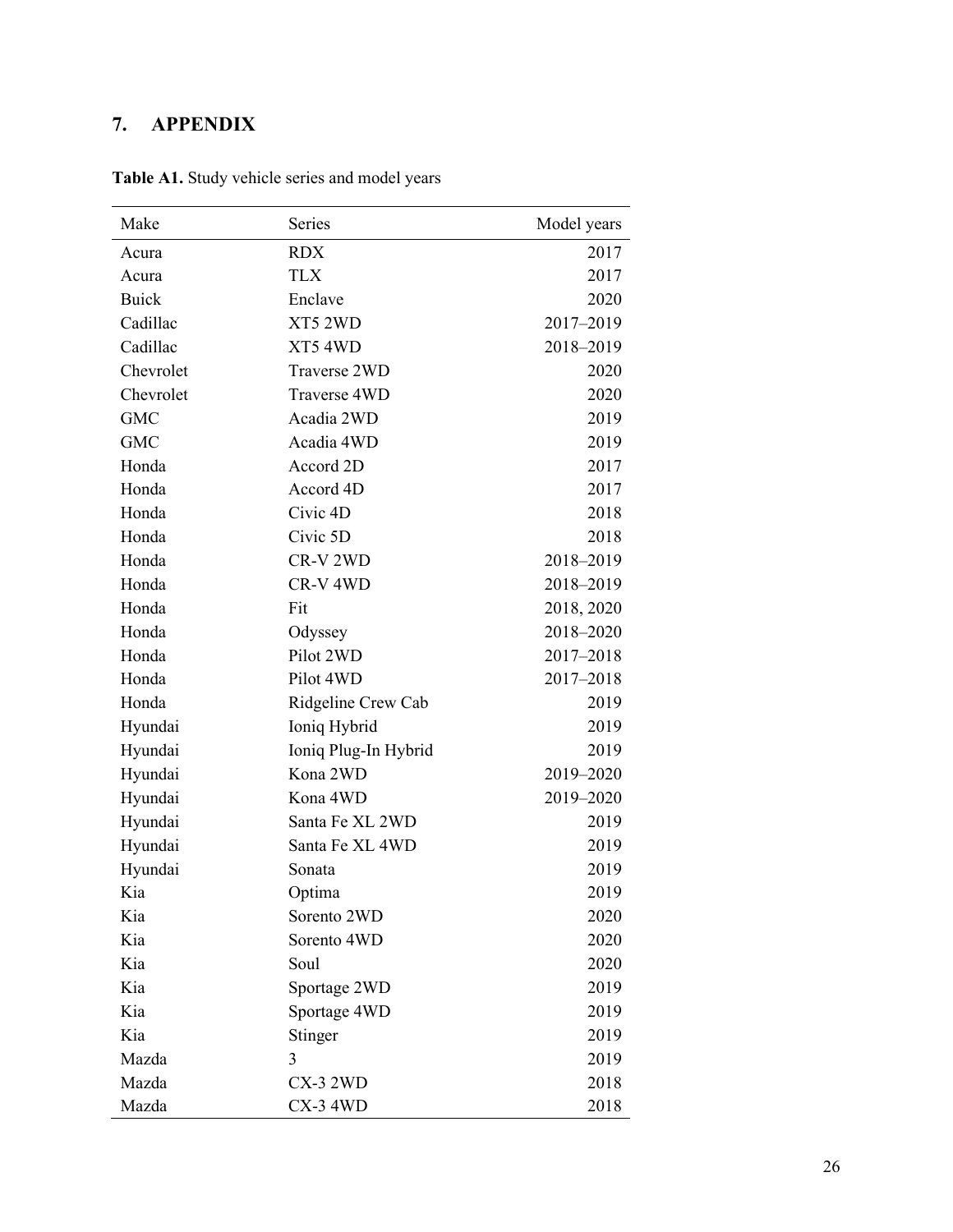## <span id="page-29-0"></span>**7. APPENDIX**

| Make         | Series               | Model years |
|--------------|----------------------|-------------|
| Acura        | <b>RDX</b>           | 2017        |
| Acura        | <b>TLX</b>           | 2017        |
| <b>Buick</b> | Enclave              | 2020        |
| Cadillac     | XT5 2WD              | 2017-2019   |
| Cadillac     | XT54WD               | 2018-2019   |
| Chevrolet    | Traverse 2WD         | 2020        |
| Chevrolet    | Traverse 4WD         | 2020        |
| <b>GMC</b>   | Acadia 2WD           | 2019        |
| <b>GMC</b>   | Acadia 4WD           | 2019        |
| Honda        | Accord 2D            | 2017        |
| Honda        | Accord 4D            | 2017        |
| Honda        | Civic 4D             | 2018        |
| Honda        | Civic 5D             | 2018        |
| Honda        | CR-V 2WD             | 2018-2019   |
| Honda        | CR-V <sub>4WD</sub>  | 2018-2019   |
| Honda        | Fit                  | 2018, 2020  |
| Honda        | Odyssey              | 2018-2020   |
| Honda        | Pilot 2WD            | 2017-2018   |
| Honda        | Pilot 4WD            | 2017-2018   |
| Honda        | Ridgeline Crew Cab   | 2019        |
| Hyundai      | Ioniq Hybrid         | 2019        |
| Hyundai      | Ioniq Plug-In Hybrid | 2019        |
| Hyundai      | Kona 2WD             | 2019-2020   |
| Hyundai      | Kona 4WD             | 2019-2020   |
| Hyundai      | Santa Fe XL 2WD      | 2019        |
| Hyundai      | Santa Fe XL 4WD      | 2019        |
| Hyundai      | Sonata               | 2019        |
| Kia          | Optima               | 2019        |
| Kia          | Sorento 2WD          | 2020        |
| Kia          | Sorento 4WD          | 2020        |
| Kia          | Soul                 | 2020        |
| Kia          | Sportage 2WD         | 2019        |
| Kia          | Sportage 4WD         | 2019        |
| Kia          | Stinger              | 2019        |
| Mazda        | 3                    | 2019        |
| Mazda        | <b>CX-3 2WD</b>      | 2018        |
| Mazda        | $CX-3$ $4WD$         | 2018        |

**Table A1.** Study vehicle series and model years